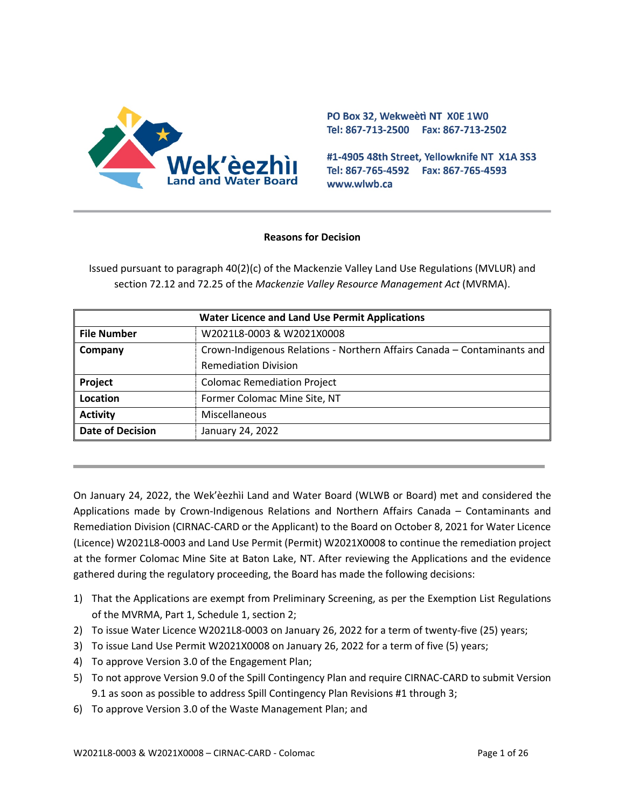

PO Box 32, Wekweeti NT X0E 1W0 Tel: 867-713-2500 Fax: 867-713-2502

#1-4905 48th Street, Yellowknife NT X1A 3S3 Tel: 867-765-4592 Fax: 867-765-4593 www.wlwb.ca

#### **Reasons for Decision**

Issued pursuant to paragraph 40(2)(c) of the Mackenzie Valley Land Use Regulations (MVLUR) and section 72.12 and 72.25 of the *Mackenzie Valley Resource Management Act* (MVRMA).

| <b>Water Licence and Land Use Permit Applications</b> |                                                                         |  |
|-------------------------------------------------------|-------------------------------------------------------------------------|--|
| <b>File Number</b>                                    | W2021L8-0003 & W2021X0008                                               |  |
| Company                                               | Crown-Indigenous Relations - Northern Affairs Canada - Contaminants and |  |
|                                                       | <b>Remediation Division</b>                                             |  |
| Project                                               | <b>Colomac Remediation Project</b>                                      |  |
| Location                                              | Former Colomac Mine Site, NT                                            |  |
| <b>Activity</b>                                       | Miscellaneous                                                           |  |
| <b>Date of Decision</b>                               | January 24, 2022                                                        |  |

On January 24, 2022, the Wek'èezhìi Land and Water Board (WLWB or Board) met and considered the Applications made by Crown-Indigenous Relations and Northern Affairs Canada – Contaminants and Remediation Division (CIRNAC-CARD or the Applicant) to the Board on October 8, 2021 for Water Licence (Licence) W2021L8-0003 and Land Use Permit (Permit) W2021X0008 to continue the remediation project at the former Colomac Mine Site at Baton Lake, NT. After reviewing the Applications and the evidence gathered during the regulatory proceeding, the Board has made the following decisions:

- 1) That the Applications are exempt from Preliminary Screening, as per the Exemption List Regulations of the MVRMA, Part 1, Schedule 1, section 2;
- 2) To issue Water Licence W2021L8-0003 on January 26, 2022 for a term of twenty-five (25) years;
- 3) To issue Land Use Permit W2021X0008 on January 26, 2022 for a term of five (5) years;
- 4) To approve Version 3.0 of the Engagement Plan;
- 5) To not approve Version 9.0 of the Spill Contingency Plan and require CIRNAC-CARD to submit Version 9.1 as soon as possible to address Spill Contingency Plan Revisions #1 through 3;
- 6) To approve Version 3.0 of the Waste Management Plan; and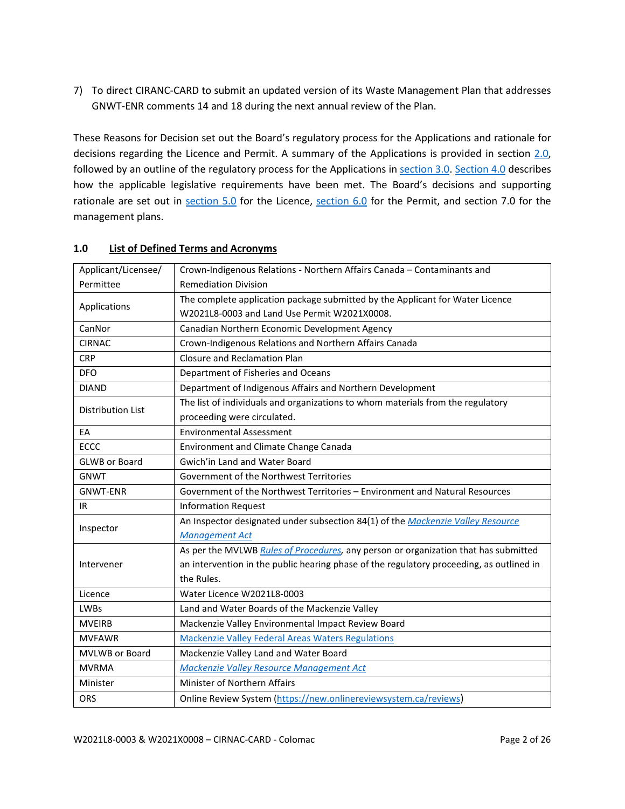7) To direct CIRANC-CARD to submit an updated version of its Waste Management Plan that addresses GNWT-ENR comments 14 and 18 during the next annual review of the Plan.

These Reasons for Decision set out the Board's regulatory process for the Applications and rationale for decisions regarding the Licence and Permit. A summary of the Applications is provided in section 2.0, followed by an outline of the regulatory process for the Applications i[n section 3.0.](#page-3-0) [Section 4.0](#page-4-0) describes how the applicable legislative requirements have been met. The Board's decisions and supporting rationale are set out in [section 5.0](#page-9-0) for the Licence, [section 6.0](#page-19-0) for the Permit, and section 7.0 for the management plans.

| Applicant/Licensee/  | Crown-Indigenous Relations - Northern Affairs Canada - Contaminants and                  |  |  |
|----------------------|------------------------------------------------------------------------------------------|--|--|
| Permittee            | <b>Remediation Division</b>                                                              |  |  |
| Applications         | The complete application package submitted by the Applicant for Water Licence            |  |  |
|                      | W2021L8-0003 and Land Use Permit W2021X0008.                                             |  |  |
| CanNor               | Canadian Northern Economic Development Agency                                            |  |  |
| <b>CIRNAC</b>        | Crown-Indigenous Relations and Northern Affairs Canada                                   |  |  |
| <b>CRP</b>           | Closure and Reclamation Plan                                                             |  |  |
| <b>DFO</b>           | Department of Fisheries and Oceans                                                       |  |  |
| <b>DIAND</b>         | Department of Indigenous Affairs and Northern Development                                |  |  |
| Distribution List    | The list of individuals and organizations to whom materials from the regulatory          |  |  |
|                      | proceeding were circulated.                                                              |  |  |
| EA                   | <b>Environmental Assessment</b>                                                          |  |  |
| <b>ECCC</b>          | Environment and Climate Change Canada                                                    |  |  |
| <b>GLWB</b> or Board | Gwich'in Land and Water Board                                                            |  |  |
| <b>GNWT</b>          | Government of the Northwest Territories                                                  |  |  |
| <b>GNWT-ENR</b>      | Government of the Northwest Territories - Environment and Natural Resources              |  |  |
| IR                   | <b>Information Request</b>                                                               |  |  |
| Inspector            | An Inspector designated under subsection 84(1) of the Mackenzie Valley Resource          |  |  |
|                      | <b>Management Act</b>                                                                    |  |  |
|                      | As per the MVLWB Rules of Procedures, any person or organization that has submitted      |  |  |
| Intervener           | an intervention in the public hearing phase of the regulatory proceeding, as outlined in |  |  |
|                      | the Rules.                                                                               |  |  |
| Licence              | Water Licence W2021L8-0003                                                               |  |  |
| <b>LWBs</b>          | Land and Water Boards of the Mackenzie Valley                                            |  |  |
| <b>MVEIRB</b>        | Mackenzie Valley Environmental Impact Review Board                                       |  |  |
| <b>MVFAWR</b>        | <b>Mackenzie Valley Federal Areas Waters Regulations</b>                                 |  |  |
|                      | Mackenzie Valley Land and Water Board                                                    |  |  |
| MVLWB or Board       |                                                                                          |  |  |
| <b>MVRMA</b>         | Mackenzie Valley Resource Management Act                                                 |  |  |
| Minister             | Minister of Northern Affairs                                                             |  |  |

#### **1.0 List of Defined Terms and Acronyms**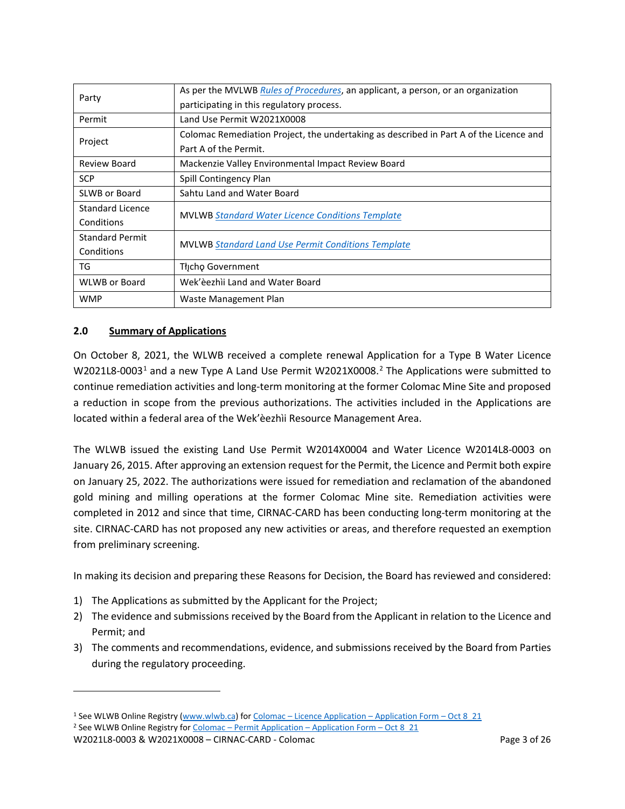| Party                  | As per the MVLWB Rules of Procedures, an applicant, a person, or an organization       |  |
|------------------------|----------------------------------------------------------------------------------------|--|
|                        | participating in this regulatory process.                                              |  |
| Permit                 | Land Use Permit W2021X0008                                                             |  |
| Project                | Colomac Remediation Project, the undertaking as described in Part A of the Licence and |  |
|                        | Part A of the Permit.                                                                  |  |
| Review Board           | Mackenzie Valley Environmental Impact Review Board                                     |  |
| <b>SCP</b>             | Spill Contingency Plan                                                                 |  |
| SLWB or Board          | Sahtu Land and Water Board                                                             |  |
| Standard Licence       | <b>MVLWB Standard Water Licence Conditions Template</b>                                |  |
| Conditions             |                                                                                        |  |
| <b>Standard Permit</b> | <b>MVLWB Standard Land Use Permit Conditions Template</b>                              |  |
| Conditions             |                                                                                        |  |
| TG                     | Thcho Government                                                                       |  |
| <b>WLWB or Board</b>   | Wek'èezhìi Land and Water Board                                                        |  |
| <b>WMP</b>             | Waste Management Plan                                                                  |  |

# <span id="page-2-0"></span>**2.0 Summary of Applications**

On October 8, 2021, the WLWB received a complete renewal Application for a Type B Water Licence W202[1](#page-2-1)L8-0003<sup>1</sup> and a new Type A Land Use Permit W[2](#page-2-2)021X0008.<sup>2</sup> The Applications were submitted to continue remediation activities and long-term monitoring at the former Colomac Mine Site and proposed a reduction in scope from the previous authorizations. The activities included in the Applications are located within a federal area of the Wek'èezhìi Resource Management Area.

The WLWB issued the existing Land Use Permit W2014X0004 and Water Licence W2014L8-0003 on January 26, 2015. After approving an extension request for the Permit, the Licence and Permit both expire on January 25, 2022. The authorizations were issued for remediation and reclamation of the abandoned gold mining and milling operations at the former Colomac Mine site. Remediation activities were completed in 2012 and since that time, CIRNAC-CARD has been conducting long-term monitoring at the site. CIRNAC-CARD has not proposed any new activities or areas, and therefore requested an exemption from preliminary screening.

In making its decision and preparing these Reasons for Decision, the Board has reviewed and considered:

- 1) The Applications as submitted by the Applicant for the Project;
- 2) The evidence and submissions received by the Board from the Applicant in relation to the Licence and Permit; and
- 3) The comments and recommendations, evidence, and submissions received by the Board from Parties during the regulatory proceeding.

<span id="page-2-1"></span><sup>&</sup>lt;sup>1</sup> See WLWB Online Registry [\(www.wlwb.ca\)](http://www.wlwb.ca/) for Colomac – [Licence Application –](https://registry.mvlwb.ca/Documents/W2021L8-0003/Colomac%20-%20Licence%20Application%20-%20Application%20Form%20-%20Oct%208_21.pdf) Application Form – Oct 8 21

<span id="page-2-2"></span><sup>&</sup>lt;sup>2</sup> See WLWB Online Registry for Colomac – [Permit Application –](https://registry.mvlwb.ca/Documents/W2021X0008/Colomac%20-%20Permit%20Application%20-%20Application%20Form%20-%20Oct%208_21.pdf) Application Form – Oct 8\_21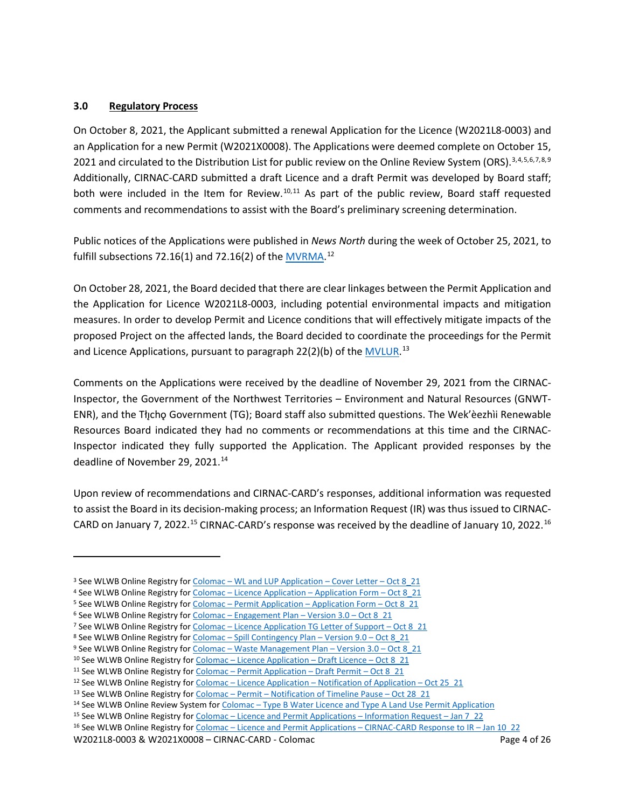### <span id="page-3-0"></span>**3.0 Regulatory Process**

On October 8, 2021, the Applicant submitted a renewal Application for the Licence (W2021L8-0003) and an Application for a new Permit (W2021X0008). The Applications were deemed complete on October 15, 2021 and circulated to the Distribution List for public review on the Online Review System (ORS).<sup>[3](#page-3-1),[4,](#page-3-2)[5,](#page-3-3)[6](#page-3-4),[7](#page-3-5),[8](#page-3-6),[9](#page-3-7)</sup> Additionally, CIRNAC-CARD submitted a draft Licence and a draft Permit was developed by Board staff; both were included in the Item for Review.<sup>[10,](#page-3-8)[11](#page-3-9)</sup> As part of the public review, Board staff requested comments and recommendations to assist with the Board's preliminary screening determination.

Public notices of the Applications were published in *News North* during the week of October 25, 2021, to fulfill subsections 72.16(1) and 72.16(2) of the **MVRMA**.<sup>[12](#page-3-10)</sup>

On October 28, 2021, the Board decided that there are clear linkages between the Permit Application and the Application for Licence W2021L8-0003, including potential environmental impacts and mitigation measures. In order to develop Permit and Licence conditions that will effectively mitigate impacts of the proposed Project on the affected lands, the Board decided to coordinate the proceedings for the Permit and Licence Applications, pursuant to paragraph 22(2)(b) of th[e MVLUR.](http://laws-lois.justice.gc.ca/PDF/SOR-98-429.pdf)<sup>[13](#page-3-11)</sup>

Comments on the Applications were received by the deadline of November 29, 2021 from the CIRNAC-Inspector, the Government of the Northwest Territories – Environment and Natural Resources (GNWT-ENR), and the Tłı̨chǫ Government (TG); Board staff also submitted questions. The Wek'èezhìi Renewable Resources Board indicated they had no comments or recommendations at this time and the CIRNAC-Inspector indicated they fully supported the Application. The Applicant provided responses by the deadline of November 29, 2021.<sup>[14](#page-3-12)</sup>

Upon review of recommendations and CIRNAC-CARD's responses, additional information was requested to assist the Board in its decision-making process; an Information Request (IR) was thus issued to CIRNAC-CARD on January 7, 2022.<sup>15</sup> CIRNAC-CARD's response was received by the deadline of January 10, 2022.<sup>[16](#page-3-14)</sup>

<span id="page-3-1"></span><sup>&</sup>lt;sup>3</sup> See WLWB Online Registry for Colomac – [WL and LUP Application –](https://registry.mvlwb.ca/Documents/W2021L8-0003/Colomac%20-%20Licence%20Application%20-%20Cover%20Letter%20-%20Oct%208_21.pdf) Cover Letter – Oct 8\_21

<span id="page-3-2"></span><sup>4</sup> See WLWB Online Registry for Colomac – [Licence Application –](https://registry.mvlwb.ca/Documents/W2021L8-0003/Colomac%20-%20Licence%20Application%20-%20Application%20Form%20-%20Oct%208_21.pdf) Application Form – Oct 8\_21

<span id="page-3-4"></span><span id="page-3-3"></span><sup>&</sup>lt;sup>5</sup> See WLWB Online Registry for Colomac – [Permit Application –](https://registry.mvlwb.ca/Documents/W2021X0008/Colomac%20-%20Permit%20Application%20-%20Application%20Form%20-%20Oct%208_21.pdf) Application Form – Oct 8 21

 $6$  See WLWB Online Registry for Colomac – [Engagement Plan –](https://registry.mvlwb.ca/Documents/W2021X0008/Colomac%20-%20Engagement%20Plan%20-%20Version%203.0%20-%20Oct%208_21.pdf) Version  $3.0 - Oct 8$  21

<span id="page-3-5"></span><sup>&</sup>lt;sup>7</sup> See WLWB Online Registry for Colomac – [Licence Application TG Letter of Support –](https://registry.mvlwb.ca/Documents/W2021L8-0003/Colomac%20-%20Licence%20Application%20-%20TG%20Letter%20of%20Support%20-%20Oct%208_21.pdf) Oct 8\_21

<span id="page-3-6"></span><sup>8</sup> See WLWB Online Registry for Colomac – [Spill Contingency Plan –](https://registry.mvlwb.ca/Documents/W2021X0008/Colomac%20-%20Spill%20Contingency%20Plan%20-%20Version%209.0%20-%20Oct%208_21.pdf) Version 9.0 – Oct 8 21

<span id="page-3-7"></span><sup>9</sup> See WLWB Online Registry for Colomac – [Waste Management Plan –](https://registry.mvlwb.ca/Documents/W2021X0008/Colomac%20-%20Waste%20Management%20Plan%20-%20Verison%203.0%20-%20Oct%208_21.pdf) Version 3.0 – Oct 8 21

<span id="page-3-8"></span><sup>&</sup>lt;sup>10</sup> See WLWB Online Registry for Colomac – [Licence Application –](https://registry.mvlwb.ca/Documents/W2021L8-0003/Colomac%20-%20Licence%20Application%20-%20Draft%20Licence%20-%20Oct%208_21.pdf) Draft Licence – Oct 8\_21

<span id="page-3-9"></span><sup>&</sup>lt;sup>11</sup> See WLWB Online Registry for Colomac – [Permit Application –](https://registry.mvlwb.ca/Documents/W2021X0008/Colomac%20-%20Permit%20Application%20-%20Draft%20Permit%20-%20Oct%2015_21.pdf) Draft Permit – Oct 8  $21$ 

<span id="page-3-10"></span><sup>&</sup>lt;sup>12</sup> See WLWB Online Registry for Colomac – Licence Application – [Notification of Application –](http://registry.mvlwb.ca/Documents/W2021L8-0003/Colomac%20-%20Licence%20Application%20-%20Notice%20of%20Application%20-%20Oct%2025_21.pdf) Oct 25  $21$ 

<span id="page-3-11"></span><sup>13</sup> See WLWB Online Registry for Colomac – Permit – [Notification of Timeline Pause –](https://registry.mvlwb.ca/Documents/W2021X0008/Colomac%20-%20Permit%20-%20Notification%20of%20Timeline%20Pause%20-%20Oct%2028_21.pdf) Oct 28 21

<span id="page-3-12"></span><sup>14</sup> See WLWB Online Review System for Colomac - [Type B Water Licence and Type A Land Use Permit Application](https://new.onlinereviewsystem.ca/review/A7633508-0F2D-EC11-AE72-0050F28CA729)

<span id="page-3-13"></span><sup>15</sup> See WLWB Online Registry for Colomac – [Licence and Permit Applications –](https://registry.mvlwb.ca/Documents/W2021L8-0003/Colomac%20-%20Licence%20and%20Permit%20Applications%20-%20Information%20Request%20-%20Jan%207_22.pdf) Information Request – Jan 7\_22

<span id="page-3-14"></span><sup>16</sup> See WLWB Online Registry for Colomac – [Licence and Permit Applications –](http://registry.mvlwb.ca/Documents/W2021L8-0003/Colomac%20-%20Licence%20and%20Permit%20Applications%20-%20CIRNAC-CARD%20Respose%20to%20IR%20-%20Jan10_22.pdf) CIRNAC-CARD Response to IR – Jan 10\_22

W2021L8-0003 & W2021X0008 – CIRNAC-CARD - Colomac Page 4 of 26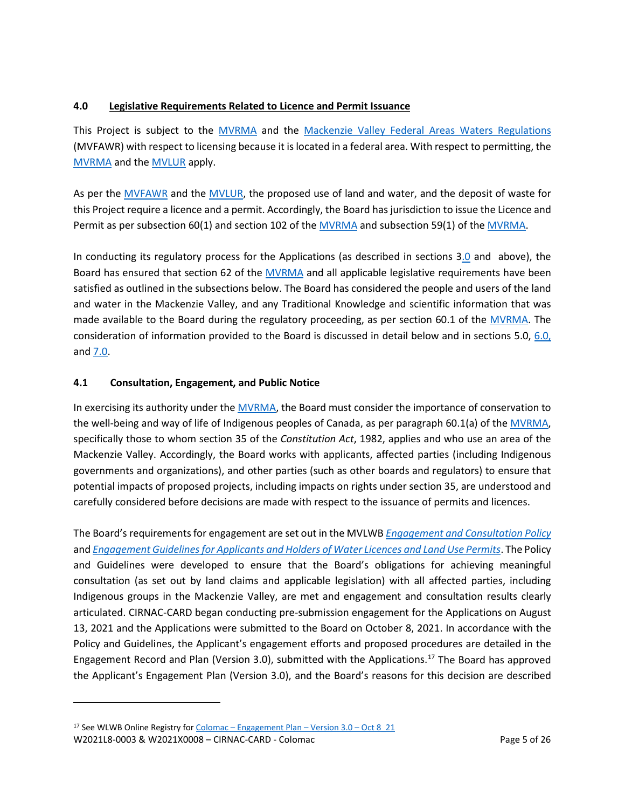### <span id="page-4-0"></span>**4.0 Legislative Requirements Related to Licence and Permit Issuance**

This Project is subject to the [MVRMA](http://laws-lois.justice.gc.ca/PDF/M-0.2.pdf) and the [Mackenzie Valley Federal Areas Waters Regulations](http://mvlwb.com/sites/default/files/sor-93-303_1_0.pdf) (MVFAWR) with respect to licensing because it is located in a federal area. With respect to permitting, the [MVRMA](http://laws-lois.justice.gc.ca/PDF/M-0.2.pdf) and th[e MVLUR](http://laws-lois.justice.gc.ca/PDF/SOR-98-429.pdf) apply.

As per the [MVFAWR](http://mvlwb.com/sites/default/files/sor-93-303_1_0.pdf) and the [MVLUR,](http://laws-lois.justice.gc.ca/PDF/SOR-98-429.pdf) the proposed use of land and water, and the deposit of waste for this Project require a licence and a permit. Accordingly, the Board has jurisdiction to issue the Licence and Permit as per subsection 60(1) and section 102 of the [MVRMA](http://laws-lois.justice.gc.ca/PDF/M-0.2.pdf) and subsection 59(1) of th[e MVRMA.](http://laws-lois.justice.gc.ca/PDF/M-0.2.pdf)

In conducting its regulatory process for the Applications (as described in sections 3.0 and above), the Board has ensured that section 62 of the [MVRMA](http://laws-lois.justice.gc.ca/PDF/M-0.2.pdf) and all applicable legislative requirements have been satisfied as outlined in the subsections below. The Board has considered the people and users of the land and water in the Mackenzie Valley, and any Traditional Knowledge and scientific information that was made available to the Board during the regulatory proceeding, as per section 60.1 of the [MVRMA.](http://laws-lois.justice.gc.ca/PDF/M-0.2.pdf) The consideration of information provided to the Board is discussed in detail below and in sections 5.0, [6.0,](#page-9-0) and [7.0.](#page-19-0)

# **4.1 Consultation, Engagement, and Public Notice**

In exercising its authority under the [MVRMA,](http://laws-lois.justice.gc.ca/PDF/M-0.2.pdf) the Board must consider the importance of conservation to the well-being and way of life of Indigenous peoples of Canada, as per paragraph 60.1(a) of the [MVRMA,](http://laws-lois.justice.gc.ca/PDF/M-0.2.pdf)  specifically those to whom section 35 of the *Constitution Act*, 1982, applies and who use an area of the Mackenzie Valley. Accordingly, the Board works with applicants, affected parties (including Indigenous governments and organizations), and other parties (such as other boards and regulators) to ensure that potential impacts of proposed projects, including impacts on rights under section 35, are understood and carefully considered before decisions are made with respect to the issuance of permits and licences.

The Board's requirements for engagement are set out in the MVLWB *[Engagement and Consultation Policy](https://mvlwb.com/sites/default/files/mvlwb_engagement_and_consultation_policy_-_nov_25_19.pdf)* and *[Engagement Guidelines for Applicants and Holders of Water Licences and Land Use Permits](https://mvlwb.com/sites/default/files/mvlwb_engagement_guidelines_for_holders_of_lups_and_wls_-_october_2_19.pdf)*. The Policy and Guidelines were developed to ensure that the Board's obligations for achieving meaningful consultation (as set out by land claims and applicable legislation) with all affected parties, including Indigenous groups in the Mackenzie Valley, are met and engagement and consultation results clearly articulated. CIRNAC-CARD began conducting pre-submission engagement for the Applications on August 13, 2021 and the Applications were submitted to the Board on October 8, 2021. In accordance with the Policy and Guidelines, the Applicant's engagement efforts and proposed procedures are detailed in the Engagement Record and Plan (Version 3.0), submitted with the Applications. [17](#page-4-1) The Board has approved the Applicant's Engagement Plan (Version 3.0), and the Board's reasons for this decision are described

<span id="page-4-1"></span><sup>&</sup>lt;sup>17</sup> See WLWB Online Registry for Colomac – [Engagement Plan –](https://registry.mvlwb.ca/Documents/W2021X0008/Colomac%20-%20Engagement%20Plan%20-%20Version%203.0%20-%20Oct%208_21.pdf) Version  $3.0 - Oct 8$  21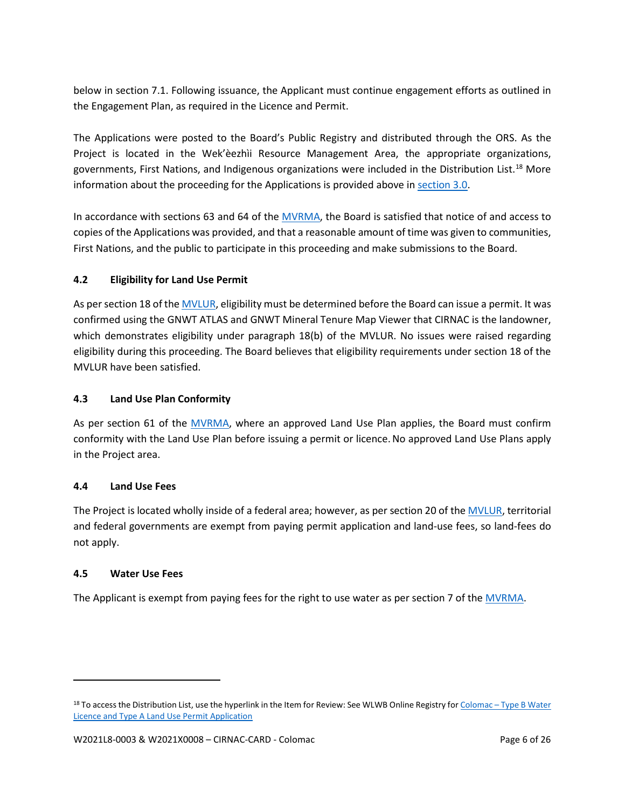below in section 7.1. Following issuance, the Applicant must continue engagement efforts as outlined in the Engagement Plan, as required in the Licence and Permit.

The Applications were posted to the Board's Public Registry and distributed through the ORS. As the Project is located in the Wek'èezhìi Resource Management Area, the appropriate organizations, governments, First Nations, and Indigenous organizations were included in the Distribution List.[18](#page-5-0) More information about the proceeding for the Applications is provided above in [section 3.0.](#page-3-0)

In accordance with sections 63 and 64 of the [MVRMA,](http://laws-lois.justice.gc.ca/PDF/M-0.2.pdf) the Board is satisfied that notice of and access to copies of the Applications was provided, and that a reasonable amount of time was given to communities, First Nations, and the public to participate in this proceeding and make submissions to the Board.

### **4.2 Eligibility for Land Use Permit**

As per section 18 of th[e MVLUR,](http://laws-lois.justice.gc.ca/PDF/SOR-98-429.pdf) eligibility must be determined before the Board can issue a permit. It was confirmed using the GNWT ATLAS and GNWT Mineral Tenure Map Viewer that CIRNAC is the landowner, which demonstrates eligibility under paragraph 18(b) of the MVLUR. No issues were raised regarding eligibility during this proceeding. The Board believes that eligibility requirements under section 18 of the MVLUR have been satisfied.

### **4.3 Land Use Plan Conformity**

As per section 61 of the [MVRMA,](http://laws-lois.justice.gc.ca/PDF/M-0.2.pdf) where an approved Land Use Plan applies, the Board must confirm conformity with the Land Use Plan before issuing a permit or licence.No approved Land Use Plans apply in the Project area.

### **4.4 Land Use Fees**

The Project is located wholly inside of a federal area; however, as per section 20 of th[e MVLUR,](http://laws-lois.justice.gc.ca/PDF/SOR-98-429.pdf) territorial and federal governments are exempt from paying permit application and land-use fees, so land-fees do not apply.

### **4.5 Water Use Fees**

The Applicant is exempt from paying fees for the right to use water as per section 7 of th[e MVRMA.](http://laws-lois.justice.gc.ca/PDF/M-0.2.pdf)

<span id="page-5-0"></span><sup>18</sup> To access the Distribution List, use the hyperlink in the Item for Review: See WLWB Online Registry for Colomac - Type B Water [Licence and Type A Land Use Permit Application](https://new.onlinereviewsystem.ca/review/A7633508-0F2D-EC11-AE72-0050F28CA729)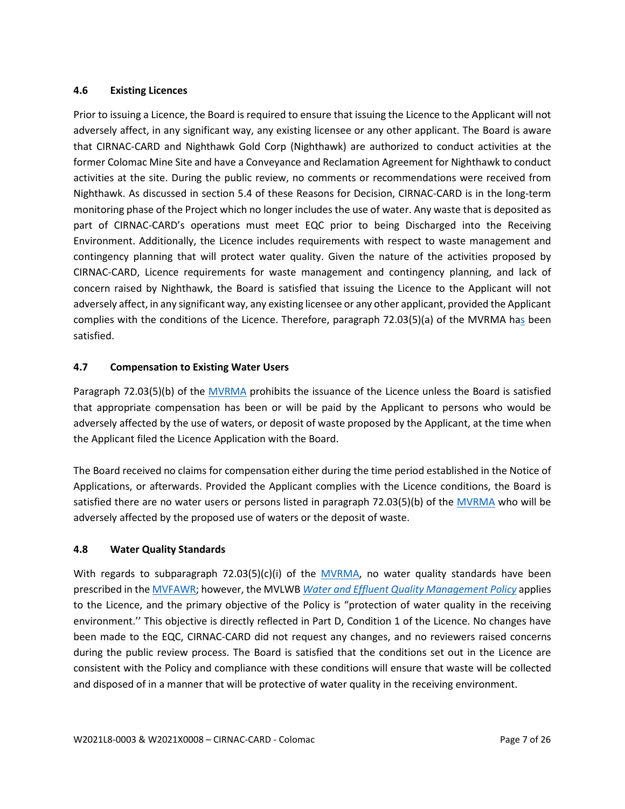### **4.6 Existing Licences**

Prior to issuing a Licence, the Board is required to ensure that issuing the Licence to the Applicant will not adversely affect, in any significant way, any existing licensee or any other applicant. The Board is aware that CIRNAC-CARD and Nighthawk Gold Corp (Nighthawk) are authorized to conduct activities at the former Colomac Mine Site and have a Conveyance and Reclamation Agreement for Nighthawk to conduct activities at the site. During the public review, no comments or recommendations were received from Nighthawk. As discussed in section 5.4 of these Reasons for Decision, CIRNAC-CARD is in the long-term monitoring phase of the Project which no longer includes the use of water. Any waste that is deposited as part of CIRNAC-CARD's operations must meet EQC prior to being Discharged into the Receiving Environment. Additionally, the Licence includes requirements with respect to waste management and contingency planning that will protect water quality. Given the nature of the activities proposed by CIRNAC-CARD, Licence requirements for waste management and contingency planning, and lack of concern raised by Nighthawk, the Board is satisfied that issuing the Licence to the Applicant will not adversely affect, in any significant way, any existing licensee or any other applicant, provided the Applicant complies with the conditions of the Licence. Therefore, paragraph 72.03(5)(a) of the [MVRMA](http://laws-lois.justice.gc.ca/PDF/M-0.2.pdf) has been satisfied.

#### **4.7 Compensation to Existing Water Users**

Paragraph 72.03(5)(b) of the [MVRMA](http://laws-lois.justice.gc.ca/PDF/M-0.2.pdf) prohibits the issuance of the Licence unless the Board is satisfied that appropriate compensation has been or will be paid by the Applicant to persons who would be adversely affected by the use of waters, or deposit of waste proposed by the Applicant, at the time when the Applicant filed the Licence Application with the Board.

The Board received no claims for compensation either during the time period established in the Notice of Applications, or afterwards. Provided the Applicant complies with the Licence conditions, the Board is satisfied there are no water users or persons listed in paragraph 72.03(5)(b) of the [MVRMA](http://laws-lois.justice.gc.ca/PDF/M-0.2.pdf) who will be adversely affected by the proposed use of waters or the deposit of waste.

#### **4.8 Water Quality Standards**

With regards to subparagraph 72.03(5)(c)(i) of the [MVRMA,](http://laws-lois.justice.gc.ca/PDF/M-0.2.pdf) no water quality standards have been prescribed in th[e MVFAWR;](http://mvlwb.com/sites/default/files/sor-93-303_1_0.pdf) however, the MVLWB *[Water and Effluent Quality Management Policy](https://mvlwb.com/sites/default/files/documents/MVLWB-Water-and-Effluent-Quality-Management-Policy-Mar-31_11-JCWG.pdf)* applies to the Licence, and the primary objective of the Policy is "protection of water quality in the receiving environment.'' This objective is directly reflected in Part D, Condition 1 of the Licence. No changes have been made to the EQC, CIRNAC-CARD did not request any changes, and no reviewers raised concerns during the public review process. The Board is satisfied that the conditions set out in the Licence are consistent with the Policy and compliance with these conditions will ensure that waste will be collected and disposed of in a manner that will be protective of water quality in the receiving environment.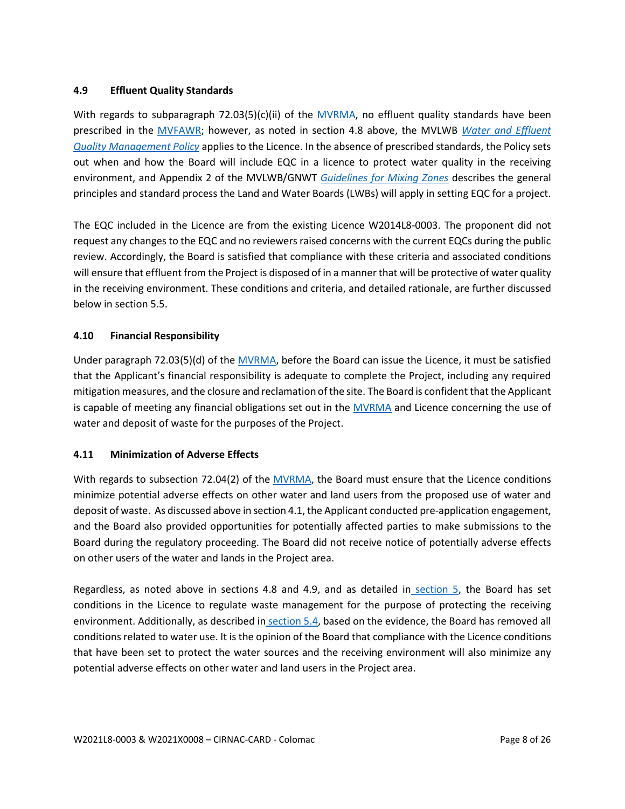### **4.9 Effluent Quality Standards**

With regards to subparagraph 72.03(5)(c)(ii) of the [MVRMA,](http://laws-lois.justice.gc.ca/PDF/M-0.2.pdf) no effluent quality standards have been prescribed in the [MVFAWR;](http://mvlwb.com/sites/default/files/sor-93-303_1_0.pdf) however, as noted in section 4.8 above, the MVLWB *[Water and Effluent](https://mvlwb.com/sites/default/files/documents/MVLWB-Water-and-Effluent-Quality-Management-Policy-Mar-31_11-JCWG.pdf)  [Quality Management Policy](https://mvlwb.com/sites/default/files/documents/MVLWB-Water-and-Effluent-Quality-Management-Policy-Mar-31_11-JCWG.pdf)* applies to the Licence. In the absence of prescribed standards, the Policy sets out when and how the Board will include EQC in a licence to protect water quality in the receiving environment, and Appendix 2 of the MVLWB/GNWT *[Guidelines for Mixing Zones](https://mvlwb.com/sites/default/files/images/Guidelines/Guidelines%20for%20Effluent%20Mixing%20Zones%20-%20Final%20Draft%20-%20June%202017_EDIT9.pdf)* describes the general principles and standard process the Land and Water Boards (LWBs) will apply in setting EQC for a project.

The EQC included in the Licence are from the existing Licence W2014L8-0003. The proponent did not request any changes to the EQC and no reviewers raised concerns with the current EQCs during the public review. Accordingly, the Board is satisfied that compliance with these criteria and associated conditions will ensure that effluent from the Project is disposed of in a manner that will be protective of water quality in the receiving environment. These conditions and criteria, and detailed rationale, are further discussed below in section 5.5.

### **4.10 Financial Responsibility**

Under paragraph 72.03(5)(d) of the [MVRMA,](http://laws-lois.justice.gc.ca/PDF/M-0.2.pdf) before the Board can issue the Licence, it must be satisfied that the Applicant's financial responsibility is adequate to complete the Project, including any required mitigation measures, and the closure and reclamation of the site. The Board is confident that the Applicant is capable of meeting any financial obligations set out in the [MVRMA](http://laws-lois.justice.gc.ca/PDF/M-0.2.pdf) and Licence concerning the use of water and deposit of waste for the purposes of the Project.

### **4.11 Minimization of Adverse Effects**

With regards to subsection 72.04(2) of the [MVRMA,](http://laws-lois.justice.gc.ca/PDF/M-0.2.pdf) the Board must ensure that the Licence conditions minimize potential adverse effects on other water and land users from the proposed use of water and deposit of waste. As discussed above in section 4.1, the Applicant conducted pre-application engagement, and the Board also provided opportunities for potentially affected parties to make submissions to the Board during the regulatory proceeding. The Board did not receive notice of potentially adverse effects on other users of the water and lands in the Project area.

Regardless, as noted above in sections 4.8 and 4.9, and as detailed in section 5, the Board has set conditions in the Licence to regulate waste management for the purpose of protecting the receiving environment. Additionally, as described in section 5.4, based on the evidence, the Board has removed all conditions related to water use. It is the opinion of the Board that compliance with the Licence conditions that have been set to protect the water sources and the receiving environment will also minimize any potential adverse effects on other water and land users in the Project area.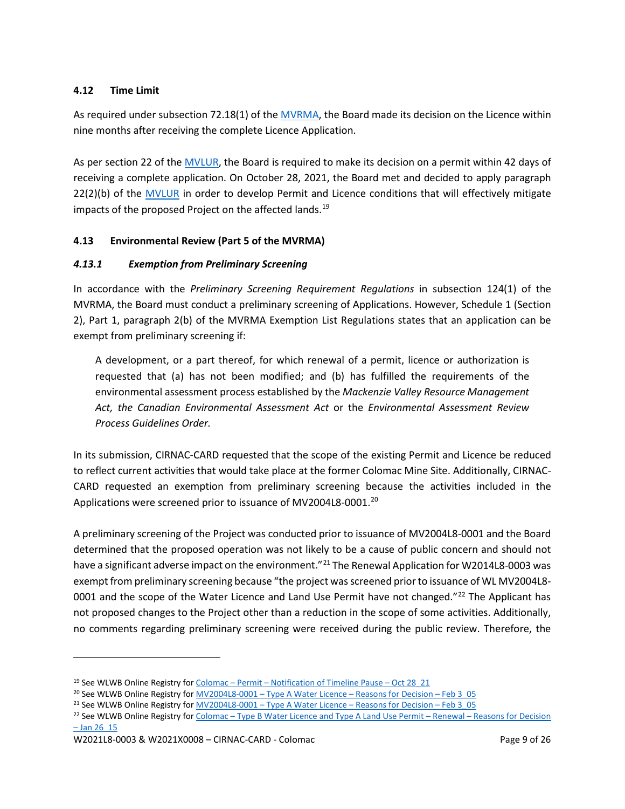### **4.12 Time Limit**

As required under subsection 72.18(1) of the [MVRMA,](http://laws-lois.justice.gc.ca/PDF/M-0.2.pdf) the Board made its decision on the Licence within nine months after receiving the complete Licence Application.

As per section 22 of the [MVLUR,](http://laws-lois.justice.gc.ca/PDF/SOR-98-429.pdf) the Board is required to make its decision on a permit within 42 days of receiving a complete application. On October 28, 2021, the Board met and decided to apply paragraph 22(2)(b) of the [MVLUR](http://laws-lois.justice.gc.ca/PDF/SOR-98-429.pdf) in order to develop Permit and Licence conditions that will effectively mitigate impacts of the proposed Project on the affected lands.<sup>[19](#page-8-0)</sup>

### **4.13 Environmental Review (Part 5 of the MVRMA)**

### *4.13.1 Exemption from Preliminary Screening*

In accordance with the *Preliminary Screening Requirement Regulations* in subsection 124(1) of the MVRMA, the Board must conduct a preliminary screening of Applications. However, Schedule 1 (Section 2), Part 1, paragraph 2(b) of the MVRMA Exemption List Regulations states that an application can be exempt from preliminary screening if:

A development, or a part thereof, for which renewal of a permit, licence or authorization is requested that (a) has not been modified; and (b) has fulfilled the requirements of the environmental assessment process established by the *Mackenzie Valley Resource Management Act, the Canadian Environmental Assessment Act* or the *Environmental Assessment Review Process Guidelines Order.*

In its submission, CIRNAC-CARD requested that the scope of the existing Permit and Licence be reduced to reflect current activities that would take place at the former Colomac Mine Site. Additionally, CIRNAC-CARD requested an exemption from preliminary screening because the activities included in the Applications were screened prior to issuance of MV2004L8-0001.<sup>20</sup>

A preliminary screening of the Project was conducted prior to issuance of MV2004L8-0001 and the Board determined that the proposed operation was not likely to be a cause of public concern and should not have a significant adverse impact on the environment."<sup>[21](#page-8-2)</sup> The Renewal Application for W2014L8-0003 was exempt from preliminary screening because "the project was screened prior to issuance of WL MV2004L8- 0001 and the scope of the Water Licence and Land Use Permit have not changed."<sup>[22](#page-8-3)</sup> The Applicant has not proposed changes to the Project other than a reduction in the scope of some activities. Additionally, no comments regarding preliminary screening were received during the public review. Therefore, the

<span id="page-8-0"></span><sup>19</sup> See WLWB Online Registry for Colomac – Permit – [Notification of Timeline Pause –](https://registry.mvlwb.ca/Documents/W2021X0008/Colomac%20-%20Permit%20-%20Notification%20of%20Timeline%20Pause%20-%20Oct%2028_21.pdf) Oct 28 21

<span id="page-8-1"></span><sup>&</sup>lt;sup>20</sup> See WLWB Online Registry for MV2004L8-0001 - Type A Water Licence - Reasons for Decision - Feb 3\_05

<span id="page-8-2"></span><sup>&</sup>lt;sup>21</sup> See WLWB Online Registry for MV2004L8-0001 – [Type A Water Licence –](https://registry.mvlwb.ca/Documents/MV2004L8-0001/MV2004L8-0001%20-%20Colomac%20%20-%20Type%20A%20Water%20Licence%20-%20Reasons%20for%20Decision%20-%20Feb%203_05.pdf) Reasons for Decision – Feb 3\_05

<span id="page-8-3"></span><sup>&</sup>lt;sup>22</sup> See WLWB Online Registry for Colomac – [Type B Water Licence and Type A Land Use Permit –](https://registry.mvlwb.ca/Documents/W2014L8-0003/Colomac%20-%20Type%20B%20Water%20Licence%20and%20Type%20A%20Land%20Use%20Permit%20-%20Renewal%20-%20Reasons%20for%20Decision%20-%20Jan%2026_15.pdf) Renewal – Reasons for Decision  $-$  Jan 26  $15$ 

W2021L8-0003 & W2021X0008 – CIRNAC-CARD - Colomac Page 9 of 26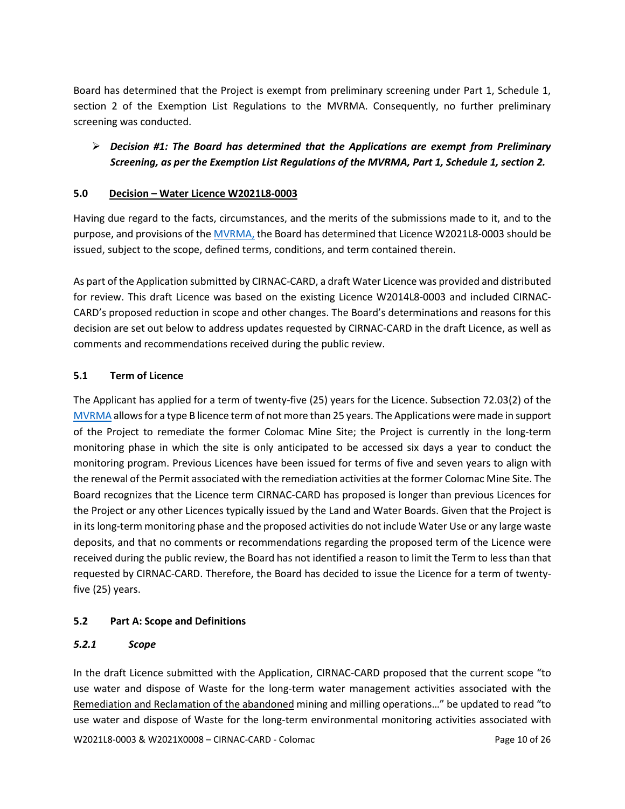Board has determined that the Project is exempt from preliminary screening under Part 1, Schedule 1, section 2 of the Exemption List Regulations to the MVRMA. Consequently, no further preliminary screening was conducted.

# *Decision #1: The Board has determined that the Applications are exempt from Preliminary Screening, as per the Exemption List Regulations of the MVRMA, Part 1, Schedule 1, section 2.*

### <span id="page-9-0"></span>**5.0 Decision – Water Licence W2021L8-0003**

Having due regard to the facts, circumstances, and the merits of the submissions made to it, and to the purpose, and provisions of th[e MVRMA,](http://laws-lois.justice.gc.ca/PDF/M-0.2.pdf) the Board has determined that Licence W2021L8-0003 should be issued, subject to the scope, defined terms, conditions, and term contained therein.

As part of the Application submitted by CIRNAC-CARD, a draft Water Licence was provided and distributed for review. This draft Licence was based on the existing Licence W2014L8-0003 and included CIRNAC-CARD's proposed reduction in scope and other changes. The Board's determinations and reasons for this decision are set out below to address updates requested by CIRNAC-CARD in the draft Licence, as well as comments and recommendations received during the public review.

### **5.1 Term of Licence**

The Applicant has applied for a term of twenty-five (25) years for the Licence. Subsection 72.03(2) of the [MVRMA](http://laws-lois.justice.gc.ca/PDF/M-0.2.pdf) allows for a type B licence term of not more than 25 years. The Applications were made in support of the Project to remediate the former Colomac Mine Site; the Project is currently in the long-term monitoring phase in which the site is only anticipated to be accessed six days a year to conduct the monitoring program. Previous Licences have been issued for terms of five and seven years to align with the renewal of the Permit associated with the remediation activities at the former Colomac Mine Site. The Board recognizes that the Licence term CIRNAC-CARD has proposed is longer than previous Licences for the Project or any other Licences typically issued by the Land and Water Boards. Given that the Project is in its long-term monitoring phase and the proposed activities do not include Water Use or any large waste deposits, and that no comments or recommendations regarding the proposed term of the Licence were received during the public review, the Board has not identified a reason to limit the Term to less than that requested by CIRNAC-CARD. Therefore, the Board has decided to issue the Licence for a term of twentyfive (25) years.

# **5.2 Part A: Scope and Definitions**

### *5.2.1 Scope*

W2021L8-0003 & W2021X0008 – CIRNAC-CARD - Colomac Page 10 of 26 In the draft Licence submitted with the Application, CIRNAC-CARD proposed that the current scope "to use water and dispose of Waste for the long-term water management activities associated with the Remediation and Reclamation of the abandoned mining and milling operations…" be updated to read "to use water and dispose of Waste for the long-term environmental monitoring activities associated with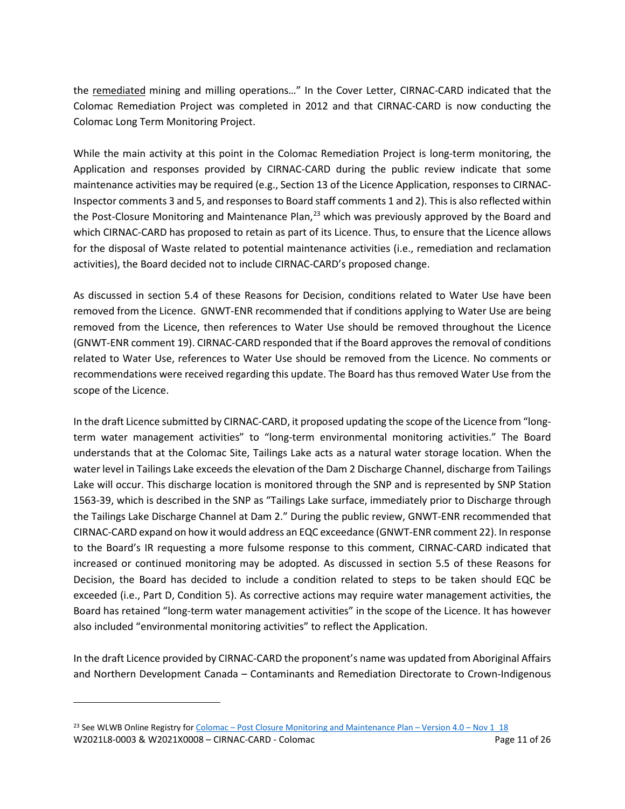the remediated mining and milling operations…" In the Cover Letter, CIRNAC-CARD indicated that the Colomac Remediation Project was completed in 2012 and that CIRNAC-CARD is now conducting the Colomac Long Term Monitoring Project.

While the main activity at this point in the Colomac Remediation Project is long-term monitoring, the Application and responses provided by CIRNAC-CARD during the public review indicate that some maintenance activities may be required (e.g., Section 13 of the Licence Application, responses to CIRNAC-Inspector comments 3 and 5, and responses to Board staff comments 1 and 2). This is also reflected within the Post-Closure Monitoring and Maintenance Plan, $^{23}$  $^{23}$  $^{23}$  which was previously approved by the Board and which CIRNAC-CARD has proposed to retain as part of its Licence. Thus, to ensure that the Licence allows for the disposal of Waste related to potential maintenance activities (i.e., remediation and reclamation activities), the Board decided not to include CIRNAC-CARD's proposed change.

As discussed in section 5.4 of these Reasons for Decision, conditions related to Water Use have been removed from the Licence. GNWT-ENR recommended that if conditions applying to Water Use are being removed from the Licence, then references to Water Use should be removed throughout the Licence (GNWT-ENR comment 19). CIRNAC-CARD responded that if the Board approves the removal of conditions related to Water Use, references to Water Use should be removed from the Licence. No comments or recommendations were received regarding this update. The Board has thus removed Water Use from the scope of the Licence.

In the draft Licence submitted by CIRNAC-CARD, it proposed updating the scope of the Licence from "longterm water management activities" to "long-term environmental monitoring activities." The Board understands that at the Colomac Site, Tailings Lake acts as a natural water storage location. When the water level in Tailings Lake exceeds the elevation of the Dam 2 Discharge Channel, discharge from Tailings Lake will occur. This discharge location is monitored through the SNP and is represented by SNP Station 1563-39, which is described in the SNP as "Tailings Lake surface, immediately prior to Discharge through the Tailings Lake Discharge Channel at Dam 2." During the public review, GNWT-ENR recommended that CIRNAC-CARD expand on how it would address an EQC exceedance (GNWT-ENR comment 22). In response to the Board's IR requesting a more fulsome response to this comment, CIRNAC-CARD indicated that increased or continued monitoring may be adopted. As discussed in section 5.5 of these Reasons for Decision, the Board has decided to include a condition related to steps to be taken should EQC be exceeded (i.e., Part D, Condition 5). As corrective actions may require water management activities, the Board has retained "long-term water management activities" in the scope of the Licence. It has however also included "environmental monitoring activities" to reflect the Application.

In the draft Licence provided by CIRNAC-CARD the proponent's name was updated from Aboriginal Affairs and Northern Development Canada – Contaminants and Remediation Directorate to Crown-Indigenous

<span id="page-10-0"></span>W2021L8-0003 & W2021X0008 – CIRNAC-CARD - Colomac Page 11 of 26 <sup>23</sup> See WLWB Online Registry for Colomac – [Post Closure Monitoring and Maintenance Plan –](https://registry.mvlwb.ca/Documents/W2014L8-0003/Colomac%20-%20Post%20Closure%20Monitoring%20and%20Maintenance%20Plan%20-%20Version%204.0%20-%20Nov%201_18.pdf) Version 4.0 – Nov 1\_18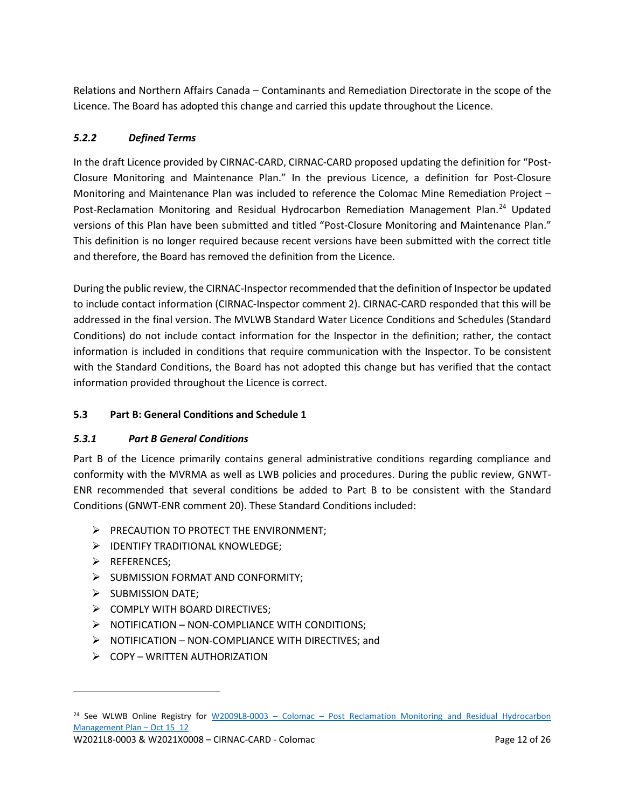Relations and Northern Affairs Canada – Contaminants and Remediation Directorate in the scope of the Licence. The Board has adopted this change and carried this update throughout the Licence.

# *5.2.2 Defined Terms*

In the draft Licence provided by CIRNAC-CARD, CIRNAC-CARD proposed updating the definition for "Post-Closure Monitoring and Maintenance Plan." In the previous Licence, a definition for Post-Closure Monitoring and Maintenance Plan was included to reference the Colomac Mine Remediation Project – Post-Reclamation Monitoring and Residual Hydrocarbon Remediation Management Plan.<sup>[24](#page-11-0)</sup> Updated versions of this Plan have been submitted and titled "Post-Closure Monitoring and Maintenance Plan." This definition is no longer required because recent versions have been submitted with the correct title and therefore, the Board has removed the definition from the Licence.

During the public review, the CIRNAC-Inspector recommended that the definition of Inspector be updated to include contact information (CIRNAC-Inspector comment 2). CIRNAC-CARD responded that this will be addressed in the final version. The MVLWB Standard Water Licence Conditions and Schedules (Standard Conditions) do not include contact information for the Inspector in the definition; rather, the contact information is included in conditions that require communication with the Inspector. To be consistent with the Standard Conditions, the Board has not adopted this change but has verified that the contact information provided throughout the Licence is correct.

# **5.3 Part B: General Conditions and Schedule 1**

# *5.3.1 Part B General Conditions*

Part B of the Licence primarily contains general administrative conditions regarding compliance and conformity with the MVRMA as well as LWB policies and procedures. During the public review, GNWT-ENR recommended that several conditions be added to Part B to be consistent with the Standard Conditions (GNWT-ENR comment 20). These Standard Conditions included:

- $\triangleright$  PRECAUTION TO PROTECT THE ENVIRONMENT;
- $\triangleright$  IDENTIFY TRADITIONAL KNOWLEDGE;
- REFERENCES;
- $\triangleright$  SUBMISSION FORMAT AND CONFORMITY;
- $\triangleright$  SUBMISSION DATE;
- $\triangleright$  COMPLY WITH BOARD DIRECTIVES:
- $\triangleright$  NOTIFICATION NON-COMPLIANCE WITH CONDITIONS;
- $\triangleright$  NOTIFICATION NON-COMPLIANCE WITH DIRECTIVES; and
- $\triangleright$  COPY WRITTEN AUTHORIZATION

<span id="page-11-0"></span><sup>&</sup>lt;sup>24</sup> See WLWB Online Registry for W2009L8-0003 – Colomac – Post Reclamation Monitoring and Residual Hydrocarbon [Management Plan –](https://registry.mvlwb.ca/Documents/W2009L8-0003/W2009L8-0003%20-%20Colomac%20-%20Post%20Reclamation%20Monitoring%20and%20Residual%20Hydrocarbon%20Management%20Plan%20-%20Oct%2015_12.pdf) Oct 15\_12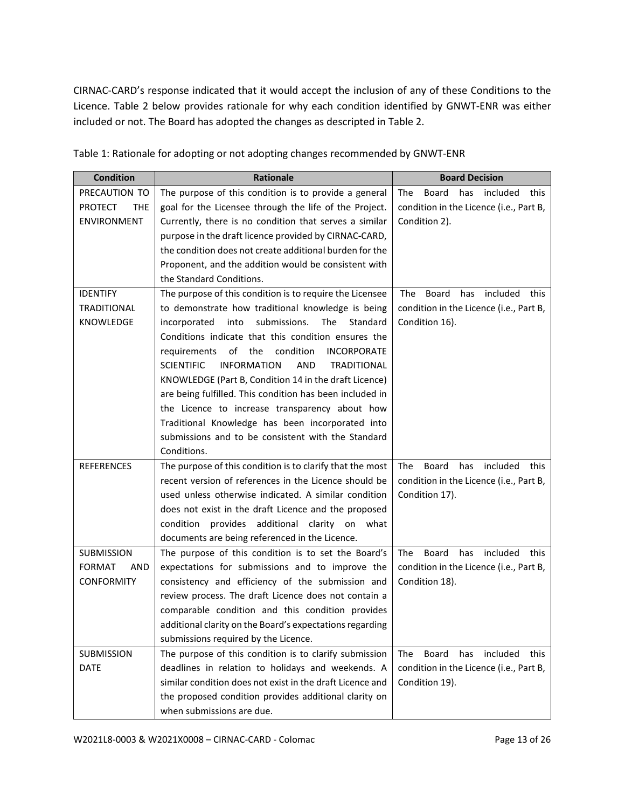CIRNAC-CARD's response indicated that it would accept the inclusion of any of these Conditions to the Licence. Table 2 below provides rationale for why each condition identified by GNWT-ENR was either included or not. The Board has adopted the changes as descripted in Table 2.

| <b>Condition</b>             | <b>Rationale</b>                                                            | <b>Board Decision</b>                          |
|------------------------------|-----------------------------------------------------------------------------|------------------------------------------------|
| PRECAUTION TO                | The purpose of this condition is to provide a general                       | <b>Board</b><br>has included<br>The<br>this    |
| <b>PROTECT</b><br><b>THE</b> | goal for the Licensee through the life of the Project.                      | condition in the Licence (i.e., Part B,        |
| ENVIRONMENT                  | Currently, there is no condition that serves a similar                      | Condition 2).                                  |
|                              | purpose in the draft licence provided by CIRNAC-CARD,                       |                                                |
|                              | the condition does not create additional burden for the                     |                                                |
|                              | Proponent, and the addition would be consistent with                        |                                                |
|                              | the Standard Conditions.                                                    |                                                |
| <b>IDENTIFY</b>              | The purpose of this condition is to require the Licensee                    | <b>The</b><br>Board<br>has<br>included<br>this |
| <b>TRADITIONAL</b>           | to demonstrate how traditional knowledge is being                           | condition in the Licence (i.e., Part B,        |
| KNOWLEDGE                    | submissions. The<br>incorporated<br>into<br>Standard                        | Condition 16).                                 |
|                              | Conditions indicate that this condition ensures the                         |                                                |
|                              | of the<br>condition<br>requirements<br><b>INCORPORATE</b>                   |                                                |
|                              | <b>SCIENTIFIC</b><br><b>AND</b><br><b>INFORMATION</b><br><b>TRADITIONAL</b> |                                                |
|                              | KNOWLEDGE (Part B, Condition 14 in the draft Licence)                       |                                                |
|                              | are being fulfilled. This condition has been included in                    |                                                |
|                              | the Licence to increase transparency about how                              |                                                |
|                              | Traditional Knowledge has been incorporated into                            |                                                |
|                              | submissions and to be consistent with the Standard                          |                                                |
|                              | Conditions.                                                                 |                                                |
| <b>REFERENCES</b>            | The purpose of this condition is to clarify that the most                   | The<br>has<br>included<br>Board<br>this        |
|                              | recent version of references in the Licence should be                       | condition in the Licence (i.e., Part B,        |
|                              | used unless otherwise indicated. A similar condition                        | Condition 17).                                 |
|                              | does not exist in the draft Licence and the proposed                        |                                                |
|                              | provides additional clarity on what<br>condition                            |                                                |
|                              | documents are being referenced in the Licence.                              |                                                |
| SUBMISSION                   | The purpose of this condition is to set the Board's                         | included<br><b>The</b><br>Board<br>has<br>this |
| <b>FORMAT</b><br>AND         | expectations for submissions and to improve the                             | condition in the Licence (i.e., Part B,        |
| <b>CONFORMITY</b>            | consistency and efficiency of the submission and                            | Condition 18).                                 |
|                              | review process. The draft Licence does not contain a                        |                                                |
|                              | comparable condition and this condition provides                            |                                                |
|                              | additional clarity on the Board's expectations regarding                    |                                                |
|                              | submissions required by the Licence.                                        |                                                |
| SUBMISSION                   | The purpose of this condition is to clarify submission                      | The<br>included<br>Board<br>has<br>this        |
| <b>DATE</b>                  | deadlines in relation to holidays and weekends. A                           | condition in the Licence (i.e., Part B,        |
|                              | similar condition does not exist in the draft Licence and                   | Condition 19).                                 |
|                              | the proposed condition provides additional clarity on                       |                                                |
|                              | when submissions are due.                                                   |                                                |

Table 1: Rationale for adopting or not adopting changes recommended by GNWT-ENR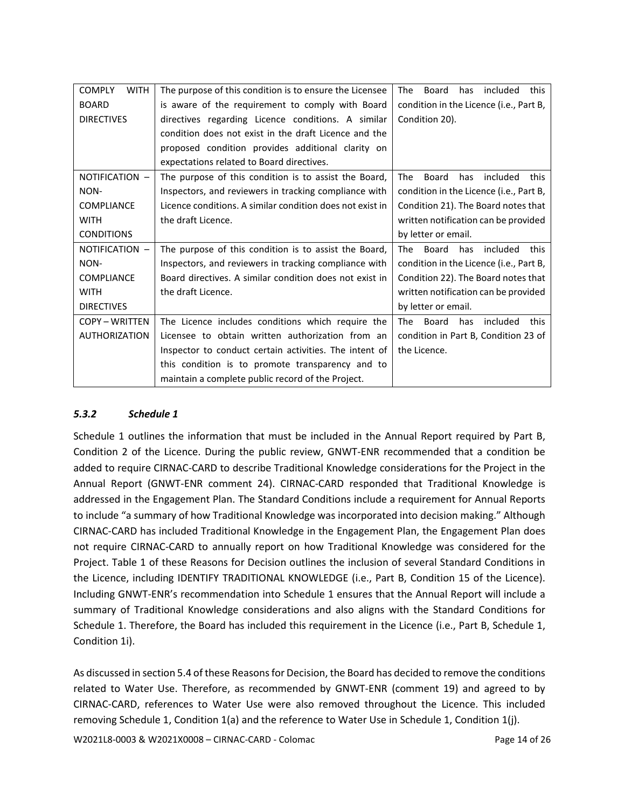| <b>COMPLY</b><br><b>WITH</b> | The purpose of this condition is to ensure the Licensee   | <b>The</b><br><b>Board</b><br>has<br>included<br>this |
|------------------------------|-----------------------------------------------------------|-------------------------------------------------------|
| <b>BOARD</b>                 | is aware of the requirement to comply with Board          | condition in the Licence (i.e., Part B,               |
| <b>DIRECTIVES</b>            | directives regarding Licence conditions. A similar        | Condition 20).                                        |
|                              | condition does not exist in the draft Licence and the     |                                                       |
|                              | proposed condition provides additional clarity on         |                                                       |
|                              | expectations related to Board directives.                 |                                                       |
| NOTIFICATION -               | The purpose of this condition is to assist the Board,     | included<br>The<br>Board<br>has<br>this               |
| NON-                         | Inspectors, and reviewers in tracking compliance with     | condition in the Licence (i.e., Part B,               |
| <b>COMPLIANCE</b>            | Licence conditions. A similar condition does not exist in | Condition 21). The Board notes that                   |
| <b>WITH</b>                  | the draft Licence.                                        | written notification can be provided                  |
| <b>CONDITIONS</b>            |                                                           | by letter or email.                                   |
| NOTIFICATION -               | The purpose of this condition is to assist the Board,     | Board<br>has included<br>this<br>The                  |
| NON-                         | Inspectors, and reviewers in tracking compliance with     | condition in the Licence (i.e., Part B,               |
| <b>COMPLIANCE</b>            | Board directives. A similar condition does not exist in   | Condition 22). The Board notes that                   |
| <b>WITH</b>                  | the draft Licence.                                        | written notification can be provided                  |
| <b>DIRECTIVES</b>            |                                                           | by letter or email.                                   |
| <b>COPY - WRITTEN</b>        | The Licence includes conditions which require the         | <b>The</b><br>Board<br>has<br>included<br>this        |
| <b>AUTHORIZATION</b>         | Licensee to obtain written authorization from an          | condition in Part B, Condition 23 of                  |
|                              | Inspector to conduct certain activities. The intent of    | the Licence.                                          |
|                              | this condition is to promote transparency and to          |                                                       |
|                              | maintain a complete public record of the Project.         |                                                       |

### *5.3.2 Schedule 1*

Schedule 1 outlines the information that must be included in the Annual Report required by Part B, Condition 2 of the Licence. During the public review, GNWT-ENR recommended that a condition be added to require CIRNAC-CARD to describe Traditional Knowledge considerations for the Project in the Annual Report (GNWT-ENR comment 24). CIRNAC-CARD responded that Traditional Knowledge is addressed in the Engagement Plan. The Standard Conditions include a requirement for Annual Reports to include "a summary of how Traditional Knowledge was incorporated into decision making." Although CIRNAC-CARD has included Traditional Knowledge in the Engagement Plan, the Engagement Plan does not require CIRNAC-CARD to annually report on how Traditional Knowledge was considered for the Project. Table 1 of these Reasons for Decision outlines the inclusion of several Standard Conditions in the Licence, including IDENTIFY TRADITIONAL KNOWLEDGE (i.e., Part B, Condition 15 of the Licence). Including GNWT-ENR's recommendation into Schedule 1 ensures that the Annual Report will include a summary of Traditional Knowledge considerations and also aligns with the Standard Conditions for Schedule 1. Therefore, the Board has included this requirement in the Licence (i.e., Part B, Schedule 1, Condition 1i).

As discussed in section 5.4 of these Reasons for Decision, the Board has decided to remove the conditions related to Water Use. Therefore, as recommended by GNWT-ENR (comment 19) and agreed to by CIRNAC-CARD, references to Water Use were also removed throughout the Licence. This included removing Schedule 1, Condition 1(a) and the reference to Water Use in Schedule 1, Condition 1(j).

W2021L8-0003 & W2021X0008 – CIRNAC-CARD - Colomac Page 14 of 26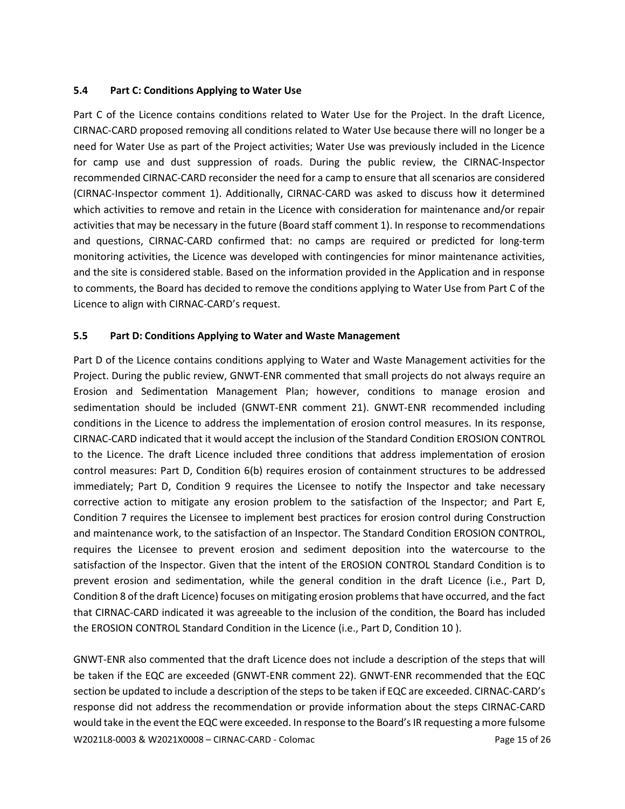#### **5.4 Part C: Conditions Applying to Water Use**

Part C of the Licence contains conditions related to Water Use for the Project. In the draft Licence, CIRNAC-CARD proposed removing all conditions related to Water Use because there will no longer be a need for Water Use as part of the Project activities; Water Use was previously included in the Licence for camp use and dust suppression of roads. During the public review, the CIRNAC-Inspector recommended CIRNAC-CARD reconsider the need for a camp to ensure that all scenarios are considered (CIRNAC-Inspector comment 1). Additionally, CIRNAC-CARD was asked to discuss how it determined which activities to remove and retain in the Licence with consideration for maintenance and/or repair activities that may be necessary in the future (Board staff comment 1). In response to recommendations and questions, CIRNAC-CARD confirmed that: no camps are required or predicted for long-term monitoring activities, the Licence was developed with contingencies for minor maintenance activities, and the site is considered stable. Based on the information provided in the Application and in response to comments, the Board has decided to remove the conditions applying to Water Use from Part C of the Licence to align with CIRNAC-CARD's request.

#### **5.5 Part D: Conditions Applying to Water and Waste Management**

Part D of the Licence contains conditions applying to Water and Waste Management activities for the Project. During the public review, GNWT-ENR commented that small projects do not always require an Erosion and Sedimentation Management Plan; however, conditions to manage erosion and sedimentation should be included (GNWT-ENR comment 21). GNWT-ENR recommended including conditions in the Licence to address the implementation of erosion control measures. In its response, CIRNAC-CARD indicated that it would accept the inclusion of the Standard Condition EROSION CONTROL to the Licence. The draft Licence included three conditions that address implementation of erosion control measures: Part D, Condition 6(b) requires erosion of containment structures to be addressed immediately; Part D, Condition 9 requires the Licensee to notify the Inspector and take necessary corrective action to mitigate any erosion problem to the satisfaction of the Inspector; and Part E, Condition 7 requires the Licensee to implement best practices for erosion control during Construction and maintenance work, to the satisfaction of an Inspector. The Standard Condition EROSION CONTROL, requires the Licensee to prevent erosion and sediment deposition into the watercourse to the satisfaction of the Inspector. Given that the intent of the EROSION CONTROL Standard Condition is to prevent erosion and sedimentation, while the general condition in the draft Licence (i.e., Part D, Condition 8 of the draft Licence) focuses on mitigating erosion problems that have occurred, and the fact that CIRNAC-CARD indicated it was agreeable to the inclusion of the condition, the Board has included the EROSION CONTROL Standard Condition in the Licence (i.e., Part D, Condition 10 ).

W2021L8-0003 & W2021X0008 – CIRNAC-CARD - Colomac Page 15 of 26 GNWT-ENR also commented that the draft Licence does not include a description of the steps that will be taken if the EQC are exceeded (GNWT-ENR comment 22). GNWT-ENR recommended that the EQC section be updated to include a description of the steps to be taken if EQC are exceeded. CIRNAC-CARD's response did not address the recommendation or provide information about the steps CIRNAC-CARD would take in the event the EQC were exceeded. In response to the Board's IR requesting a more fulsome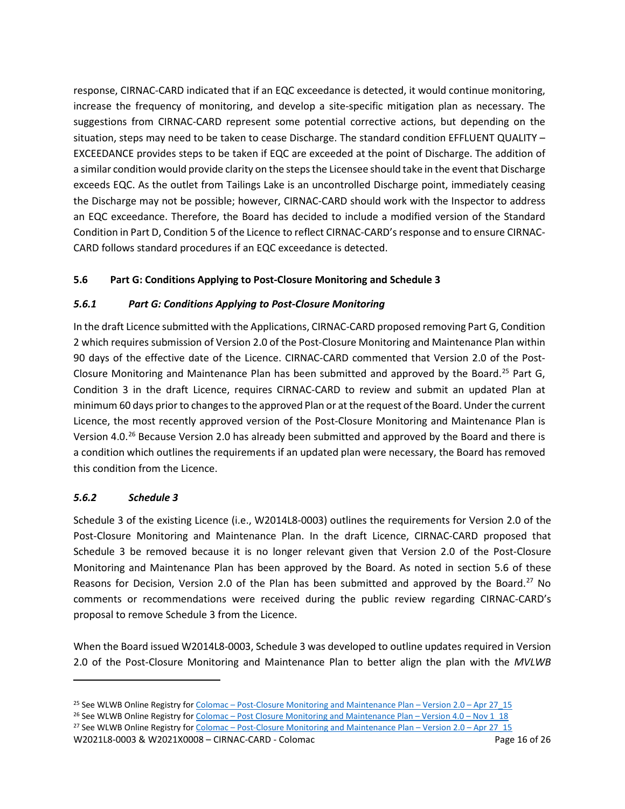response, CIRNAC-CARD indicated that if an EQC exceedance is detected, it would continue monitoring, increase the frequency of monitoring, and develop a site-specific mitigation plan as necessary. The suggestions from CIRNAC-CARD represent some potential corrective actions, but depending on the situation, steps may need to be taken to cease Discharge. The standard condition EFFLUENT QUALITY – EXCEEDANCE provides steps to be taken if EQC are exceeded at the point of Discharge. The addition of a similar condition would provide clarity on the steps the Licensee should take in the event that Discharge exceeds EQC. As the outlet from Tailings Lake is an uncontrolled Discharge point, immediately ceasing the Discharge may not be possible; however, CIRNAC-CARD should work with the Inspector to address an EQC exceedance. Therefore, the Board has decided to include a modified version of the Standard Condition in Part D, Condition 5 of the Licence to reflect CIRNAC-CARD's response and to ensure CIRNAC-CARD follows standard procedures if an EQC exceedance is detected.

# **5.6 Part G: Conditions Applying to Post-Closure Monitoring and Schedule 3**

### *5.6.1 Part G: Conditions Applying to Post-Closure Monitoring*

In the draft Licence submitted with the Applications, CIRNAC-CARD proposed removing Part G, Condition 2 which requires submission of Version 2.0 of the Post-Closure Monitoring and Maintenance Plan within 90 days of the effective date of the Licence. CIRNAC-CARD commented that Version 2.0 of the Post-Closure Monitoring and Maintenance Plan has been submitted and approved by the Board.<sup>[25](#page-15-0)</sup> Part G, Condition 3 in the draft Licence, requires CIRNAC-CARD to review and submit an updated Plan at minimum 60 days prior to changes to the approved Plan or at the request of the Board. Under the current Licence, the most recently approved version of the Post-Closure Monitoring and Maintenance Plan is Version 4.0.<sup>[26](#page-15-1)</sup> Because Version 2.0 has already been submitted and approved by the Board and there is a condition which outlines the requirements if an updated plan were necessary, the Board has removed this condition from the Licence.

### *5.6.2 Schedule 3*

Schedule 3 of the existing Licence (i.e., W2014L8-0003) outlines the requirements for Version 2.0 of the Post-Closure Monitoring and Maintenance Plan. In the draft Licence, CIRNAC-CARD proposed that Schedule 3 be removed because it is no longer relevant given that Version 2.0 of the Post-Closure Monitoring and Maintenance Plan has been approved by the Board. As noted in section 5.6 of these Reasons for Decision, Version 2.0 of the Plan has been submitted and approved by the Board.<sup>[27](#page-15-2)</sup> No comments or recommendations were received during the public review regarding CIRNAC-CARD's proposal to remove Schedule 3 from the Licence.

When the Board issued W2014L8-0003, Schedule 3 was developed to outline updates required in Version 2.0 of the Post-Closure Monitoring and Maintenance Plan to better align the plan with the *MVLWB* 

<span id="page-15-1"></span><sup>26</sup> See WLWB Online Registry for Colomac – [Post Closure Monitoring and Maintenance Plan –](https://registry.mvlwb.ca/Documents/W2014L8-0003/Colomac%20-%20Post%20Closure%20Monitoring%20and%20Maintenance%20Plan%20-%20Version%204.0%20-%20Nov%201_18.pdf) Version 4.0 – Nov 1\_18 <sup>27</sup> See WLWB Online Registry for Colomac – [Post-Closure Monitoring and Maintenance Plan –](https://registry.mvlwb.ca/Documents/W2014L8-0003/Colomac%20-%20Post-Closure%20Monitoring%20and%20Maintenance%20Plan%20-%20Version%202.0%20-%20Apr%2027_15.PDF) Version 2.0 – Apr 27\_15

<span id="page-15-2"></span>W2021L8-0003 & W2021X0008 – CIRNAC-CARD - Colomac Page 16 of 26

<span id="page-15-0"></span><sup>&</sup>lt;sup>25</sup> See WLWB Online Registry for Colomac – [Post-Closure Monitoring and Maintenance Plan –](https://registry.mvlwb.ca/Documents/W2014L8-0003/Colomac%20-%20Post-Closure%20Monitoring%20and%20Maintenance%20Plan%20-%20Version%202.0%20-%20Apr%2027_15.PDF) Version 2.0 – Apr 27\_15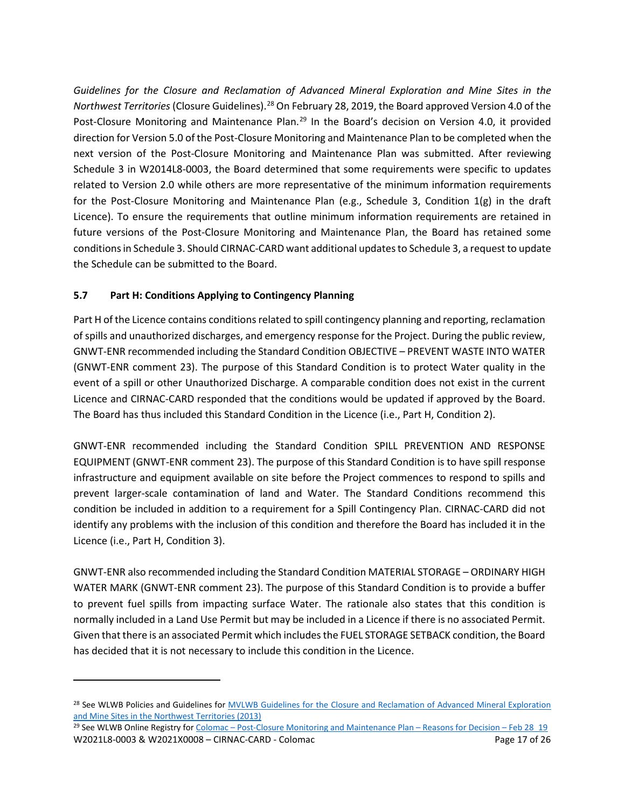*Guidelines for the Closure and Reclamation of Advanced Mineral Exploration and Mine Sites in the Northwest Territories* (Closure Guidelines).[28](#page-16-0) On February 28, 2019, the Board approved Version 4.0 of the Post-Closure Monitoring and Maintenance Plan.<sup>[29](#page-16-1)</sup> In the Board's decision on Version 4.0, it provided direction for Version 5.0 of the Post-Closure Monitoring and Maintenance Plan to be completed when the next version of the Post-Closure Monitoring and Maintenance Plan was submitted. After reviewing Schedule 3 in W2014L8-0003, the Board determined that some requirements were specific to updates related to Version 2.0 while others are more representative of the minimum information requirements for the Post-Closure Monitoring and Maintenance Plan (e.g., Schedule 3, Condition 1(g) in the draft Licence). To ensure the requirements that outline minimum information requirements are retained in future versions of the Post-Closure Monitoring and Maintenance Plan, the Board has retained some conditions in Schedule 3. Should CIRNAC-CARD want additional updates to Schedule 3, a request to update the Schedule can be submitted to the Board.

# **5.7 Part H: Conditions Applying to Contingency Planning**

Part H of the Licence contains conditions related to spill contingency planning and reporting, reclamation of spills and unauthorized discharges, and emergency response for the Project. During the public review, GNWT-ENR recommended including the Standard Condition OBJECTIVE – PREVENT WASTE INTO WATER (GNWT-ENR comment 23). The purpose of this Standard Condition is to protect Water quality in the event of a spill or other Unauthorized Discharge. A comparable condition does not exist in the current Licence and CIRNAC-CARD responded that the conditions would be updated if approved by the Board. The Board has thus included this Standard Condition in the Licence (i.e., Part H, Condition 2).

GNWT-ENR recommended including the Standard Condition SPILL PREVENTION AND RESPONSE EQUIPMENT (GNWT-ENR comment 23). The purpose of this Standard Condition is to have spill response infrastructure and equipment available on site before the Project commences to respond to spills and prevent larger-scale contamination of land and Water. The Standard Conditions recommend this condition be included in addition to a requirement for a Spill Contingency Plan. CIRNAC-CARD did not identify any problems with the inclusion of this condition and therefore the Board has included it in the Licence (i.e., Part H, Condition 3).

GNWT-ENR also recommended including the Standard Condition MATERIAL STORAGE – ORDINARY HIGH WATER MARK (GNWT-ENR comment 23). The purpose of this Standard Condition is to provide a buffer to prevent fuel spills from impacting surface Water. The rationale also states that this condition is normally included in a Land Use Permit but may be included in a Licence if there is no associated Permit. Given that there is an associated Permit which includes the FUEL STORAGE SETBACK condition, the Board has decided that it is not necessary to include this condition in the Licence.

<span id="page-16-0"></span><sup>&</sup>lt;sup>28</sup> See WLWB Policies and Guidelines for MVLWB Guidelines for the Closure and Reclamation of Advanced Mineral Exploration [and Mine Sites in the Northwest Territories \(2013\)](https://mvlwb.com/sites/default/files/wlwb_5363_guidelines_closure_reclamation_wr.pdf)

<span id="page-16-1"></span>W2021L8-0003 & W2021X0008 – CIRNAC-CARD - Colomac Page 17 of 26 <sup>29</sup> See WLWB Online Registry for Colomac – [Post-Closure Monitoring and Maintenance Plan –](https://registry.mvlwb.ca/Documents/W2014L8-0003/Colomac%20-%20Post-Closure%20Monitoring%20and%20Maintenance%20Plan%20-%20Reasons%20for%20Decision%20-%20Feb%2028_19.pdf) Reasons for Decision – Feb 28 19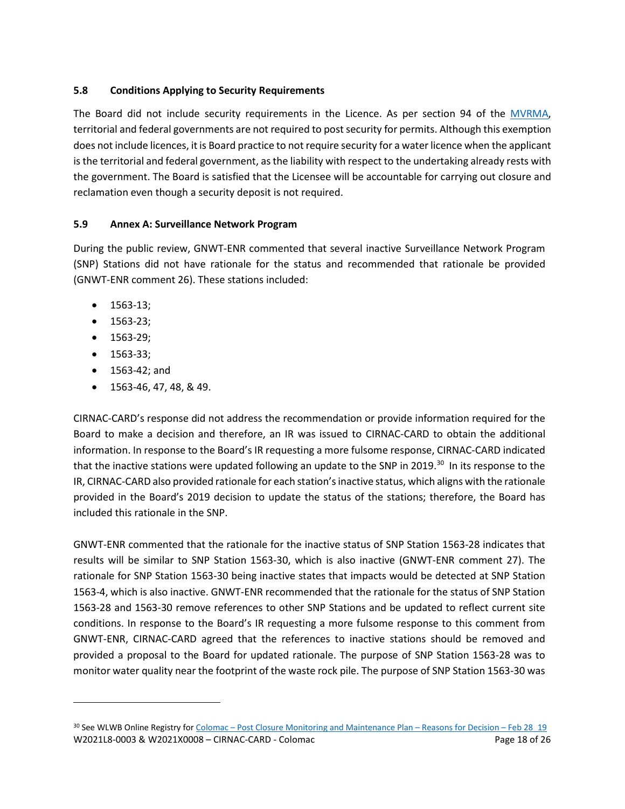# **5.8 Conditions Applying to Security Requirements**

The Board did not include security requirements in the Licence. As per section 94 of the [MVRMA,](http://laws-lois.justice.gc.ca/PDF/M-0.2.pdf)  territorial and federal governments are not required to post security for permits. Although this exemption does not include licences, it is Board practice to not require security for a water licence when the applicant is the territorial and federal government, as the liability with respect to the undertaking already rests with the government. The Board is satisfied that the Licensee will be accountable for carrying out closure and reclamation even though a security deposit is not required.

# **5.9 Annex A: Surveillance Network Program**

During the public review, GNWT-ENR commented that several inactive Surveillance Network Program (SNP) Stations did not have rationale for the status and recommended that rationale be provided (GNWT-ENR comment 26). These stations included:

- 1563-13;
- 1563-23;
- 1563-29;
- 1563-33;
- 1563-42; and
- 1563-46, 47, 48, & 49.

CIRNAC-CARD's response did not address the recommendation or provide information required for the Board to make a decision and therefore, an IR was issued to CIRNAC-CARD to obtain the additional information. In response to the Board's IR requesting a more fulsome response, CIRNAC-CARD indicated that the inactive stations were updated following an update to the SNP in 2019.<sup>[30](#page-17-0)</sup> In its response to the IR, CIRNAC-CARD also provided rationale for each station'sinactive status, which aligns with the rationale provided in the Board's 2019 decision to update the status of the stations; therefore, the Board has included this rationale in the SNP.

GNWT-ENR commented that the rationale for the inactive status of SNP Station 1563-28 indicates that results will be similar to SNP Station 1563-30, which is also inactive (GNWT-ENR comment 27). The rationale for SNP Station 1563-30 being inactive states that impacts would be detected at SNP Station 1563-4, which is also inactive. GNWT-ENR recommended that the rationale for the status of SNP Station 1563-28 and 1563-30 remove references to other SNP Stations and be updated to reflect current site conditions. In response to the Board's IR requesting a more fulsome response to this comment from GNWT-ENR, CIRNAC-CARD agreed that the references to inactive stations should be removed and provided a proposal to the Board for updated rationale. The purpose of SNP Station 1563-28 was to monitor water quality near the footprint of the waste rock pile. The purpose of SNP Station 1563-30 was

<span id="page-17-0"></span>W2021L8-0003 & W2021X0008 – CIRNAC-CARD - Colomac Page 18 of 26 30 See WLWB Online Registry for Colomac - Post Closure Monitoring and Maintenance Plan - Reasons for Decision - Feb 28 19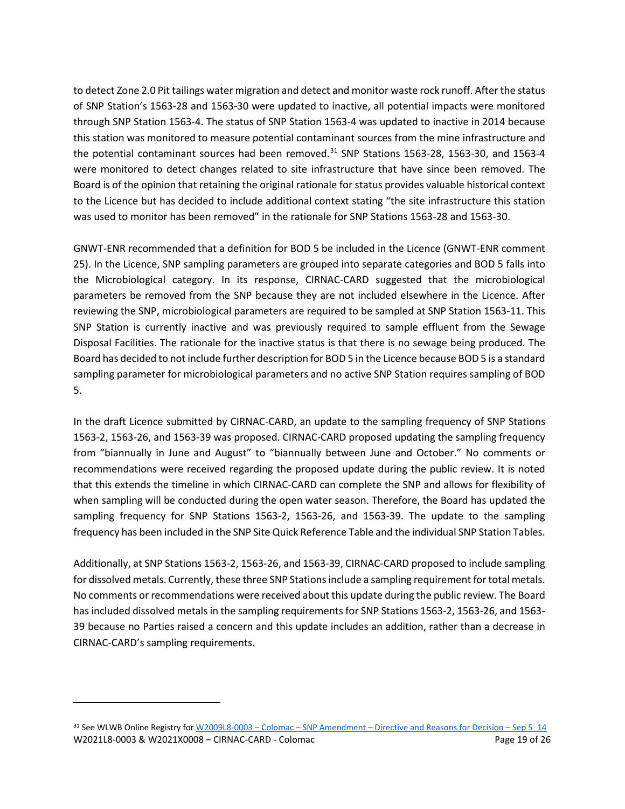to detect Zone 2.0 Pit tailings water migration and detect and monitor waste rock runoff. After the status of SNP Station's 1563-28 and 1563-30 were updated to inactive, all potential impacts were monitored through SNP Station 1563-4. The status of SNP Station 1563-4 was updated to inactive in 2014 because this station was monitored to measure potential contaminant sources from the mine infrastructure and the potential contaminant sources had been removed.<sup>[31](#page-18-0)</sup> SNP Stations 1563-28, 1563-30, and 1563-4 were monitored to detect changes related to site infrastructure that have since been removed. The Board is of the opinion that retaining the original rationale for status provides valuable historical context to the Licence but has decided to include additional context stating "the site infrastructure this station was used to monitor has been removed" in the rationale for SNP Stations 1563-28 and 1563-30.

GNWT-ENR recommended that a definition for BOD 5 be included in the Licence (GNWT-ENR comment 25). In the Licence, SNP sampling parameters are grouped into separate categories and BOD 5 falls into the Microbiological category. In its response, CIRNAC-CARD suggested that the microbiological parameters be removed from the SNP because they are not included elsewhere in the Licence. After reviewing the SNP, microbiological parameters are required to be sampled at SNP Station 1563-11. This SNP Station is currently inactive and was previously required to sample effluent from the Sewage Disposal Facilities. The rationale for the inactive status is that there is no sewage being produced. The Board has decided to not include further description for BOD 5 in the Licence because BOD 5 is a standard sampling parameter for microbiological parameters and no active SNP Station requires sampling of BOD 5.

In the draft Licence submitted by CIRNAC-CARD, an update to the sampling frequency of SNP Stations 1563-2, 1563-26, and 1563-39 was proposed. CIRNAC-CARD proposed updating the sampling frequency from "biannually in June and August" to "biannually between June and October." No comments or recommendations were received regarding the proposed update during the public review. It is noted that this extends the timeline in which CIRNAC-CARD can complete the SNP and allows for flexibility of when sampling will be conducted during the open water season. Therefore, the Board has updated the sampling frequency for SNP Stations 1563-2, 1563-26, and 1563-39. The update to the sampling frequency has been included in the SNP Site Quick Reference Table and the individual SNP Station Tables.

Additionally, at SNP Stations 1563-2, 1563-26, and 1563-39, CIRNAC-CARD proposed to include sampling for dissolved metals. Currently, these three SNP Stations include a sampling requirement for total metals. No comments or recommendations were received about this update during the public review. The Board has included dissolved metals in the sampling requirements for SNP Stations 1563-2, 1563-26, and 1563- 39 because no Parties raised a concern and this update includes an addition, rather than a decrease in CIRNAC-CARD's sampling requirements.

<span id="page-18-0"></span>W2021L8-0003 & W2021X0008 – CIRNAC-CARD - Colomac Page 19 of 26  $31$  See WLWB Online Registry for W2009L8-0003 – Colomac – SNP Amendment – [Directive and Reasons for Decision –](https://registry.mvlwb.ca/Documents/W2009L8-0003/W2009L8-0003%20-%20Colomac%20-%20SNP%20Amendment%20-%20Directive%20and%20Reasons%20for%20Decision%20-%20Sep%205_14.pdf) Sep 5\_14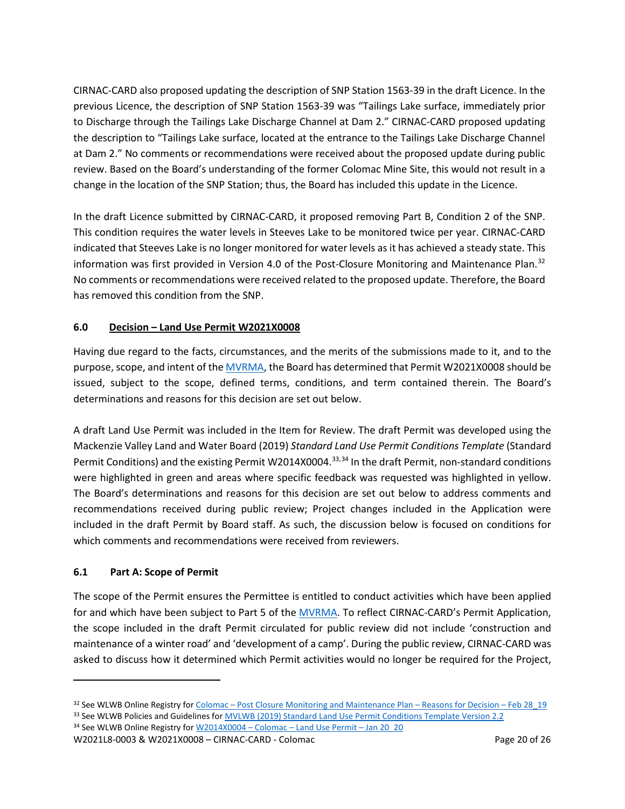CIRNAC-CARD also proposed updating the description of SNP Station 1563-39 in the draft Licence. In the previous Licence, the description of SNP Station 1563-39 was "Tailings Lake surface, immediately prior to Discharge through the Tailings Lake Discharge Channel at Dam 2." CIRNAC-CARD proposed updating the description to "Tailings Lake surface, located at the entrance to the Tailings Lake Discharge Channel at Dam 2." No comments or recommendations were received about the proposed update during public review. Based on the Board's understanding of the former Colomac Mine Site, this would not result in a change in the location of the SNP Station; thus, the Board has included this update in the Licence.

In the draft Licence submitted by CIRNAC-CARD, it proposed removing Part B, Condition 2 of the SNP. This condition requires the water levels in Steeves Lake to be monitored twice per year. CIRNAC-CARD indicated that Steeves Lake is no longer monitored for water levels as it has achieved a steady state. This information was first provided in Version 4.0 of the Post-Closure Monitoring and Maintenance Plan.<sup>[32](#page-19-1)</sup> No comments or recommendations were received related to the proposed update. Therefore, the Board has removed this condition from the SNP.

# <span id="page-19-0"></span>**6.0 Decision – Land Use Permit W2021X0008**

Having due regard to the facts, circumstances, and the merits of the submissions made to it, and to the purpose, scope, and intent of th[e MVRMA,](http://laws-lois.justice.gc.ca/PDF/M-0.2.pdf) the Board has determined that Permit W2021X0008 should be issued, subject to the scope, defined terms, conditions, and term contained therein. The Board's determinations and reasons for this decision are set out below.

A draft Land Use Permit was included in the Item for Review. The draft Permit was developed using the Mackenzie Valley Land and Water Board (2019) *Standard Land Use Permit Conditions Template* (Standard Permit Conditions) and the existing Permit W2014X0004.<sup>[33](#page-19-2),[34](#page-19-3)</sup> In the draft Permit, non-standard conditions were highlighted in green and areas where specific feedback was requested was highlighted in yellow. The Board's determinations and reasons for this decision are set out below to address comments and recommendations received during public review; Project changes included in the Application were included in the draft Permit by Board staff. As such, the discussion below is focused on conditions for which comments and recommendations were received from reviewers.

# **6.1 Part A: Scope of Permit**

The scope of the Permit ensures the Permittee is entitled to conduct activities which have been applied for and which have been subject to Part 5 of the [MVRMA.](http://laws-lois.justice.gc.ca/PDF/M-0.2.pdf) To reflect CIRNAC-CARD's Permit Application, the scope included in the draft Permit circulated for public review did not include 'construction and maintenance of a winter road' and 'development of a camp'. During the public review, CIRNAC-CARD was asked to discuss how it determined which Permit activities would no longer be required for the Project,

<span id="page-19-3"></span><span id="page-19-2"></span>W2021L8-0003 & W2021X0008 – CIRNAC-CARD - Colomac Page 20 of 26 <sup>34</sup> See WLWB Online Registry for W2014X0004 - Colomac - Land Use Permit - Jan 20 20

<span id="page-19-1"></span><sup>32</sup> See WLWB Online Registry for Colomac - Post Closure Monitoring and Maintenance Plan - Reasons for Decision - Feb 28 19 <sup>33</sup> See WLWB Policies and Guidelines fo[r MVLWB \(2019\) Standard Land Use Permit Conditions Template Version 2.2](https://wlwb.ca/sites/default/files/standard_land_use_permit_conditions_template_-_public_version_2.2_-_nov_20_19.pdf)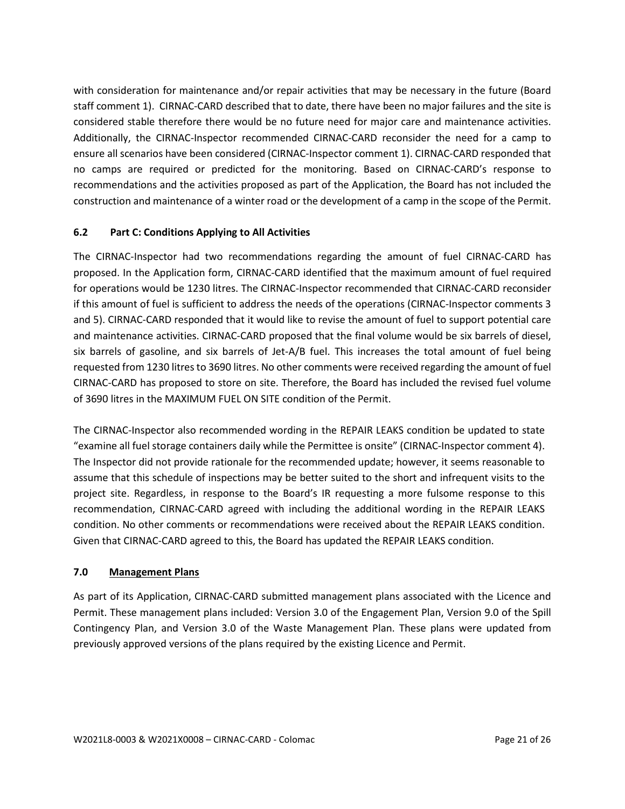with consideration for maintenance and/or repair activities that may be necessary in the future (Board staff comment 1). CIRNAC-CARD described that to date, there have been no major failures and the site is considered stable therefore there would be no future need for major care and maintenance activities. Additionally, the CIRNAC-Inspector recommended CIRNAC-CARD reconsider the need for a camp to ensure all scenarios have been considered (CIRNAC-Inspector comment 1). CIRNAC-CARD responded that no camps are required or predicted for the monitoring. Based on CIRNAC-CARD's response to recommendations and the activities proposed as part of the Application, the Board has not included the construction and maintenance of a winter road or the development of a camp in the scope of the Permit.

### **6.2 Part C: Conditions Applying to All Activities**

The CIRNAC-Inspector had two recommendations regarding the amount of fuel CIRNAC-CARD has proposed. In the Application form, CIRNAC-CARD identified that the maximum amount of fuel required for operations would be 1230 litres. The CIRNAC-Inspector recommended that CIRNAC-CARD reconsider if this amount of fuel is sufficient to address the needs of the operations (CIRNAC-Inspector comments 3 and 5). CIRNAC-CARD responded that it would like to revise the amount of fuel to support potential care and maintenance activities. CIRNAC-CARD proposed that the final volume would be six barrels of diesel, six barrels of gasoline, and six barrels of Jet-A/B fuel. This increases the total amount of fuel being requested from 1230 litres to 3690 litres. No other comments were received regarding the amount of fuel CIRNAC-CARD has proposed to store on site. Therefore, the Board has included the revised fuel volume of 3690 litres in the MAXIMUM FUEL ON SITE condition of the Permit.

The CIRNAC-Inspector also recommended wording in the REPAIR LEAKS condition be updated to state "examine all fuel storage containers daily while the Permittee is onsite" (CIRNAC-Inspector comment 4). The Inspector did not provide rationale for the recommended update; however, it seems reasonable to assume that this schedule of inspections may be better suited to the short and infrequent visits to the project site. Regardless, in response to the Board's IR requesting a more fulsome response to this recommendation, CIRNAC-CARD agreed with including the additional wording in the REPAIR LEAKS condition. No other comments or recommendations were received about the REPAIR LEAKS condition. Given that CIRNAC-CARD agreed to this, the Board has updated the REPAIR LEAKS condition.

### **7.0 Management Plans**

As part of its Application, CIRNAC-CARD submitted management plans associated with the Licence and Permit. These management plans included: Version 3.0 of the Engagement Plan, Version 9.0 of the Spill Contingency Plan, and Version 3.0 of the Waste Management Plan. These plans were updated from previously approved versions of the plans required by the existing Licence and Permit.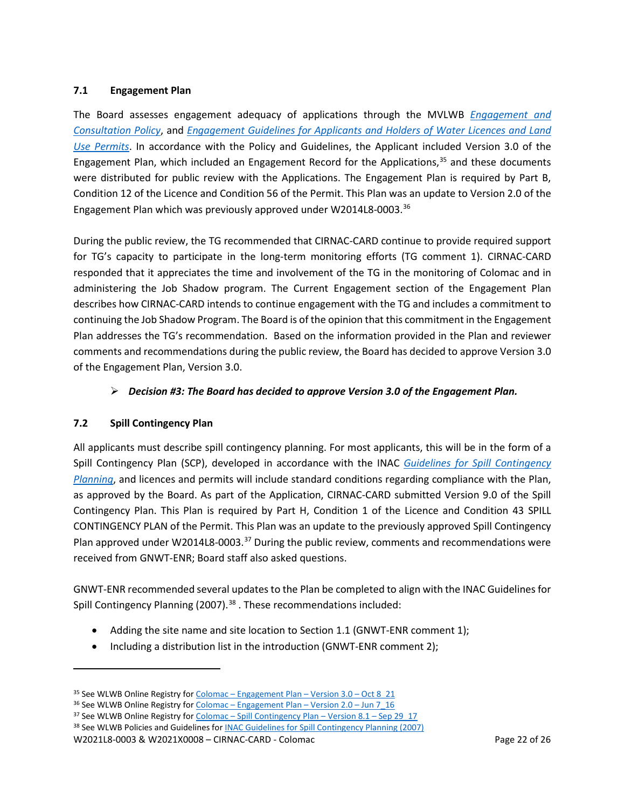### **7.1 Engagement Plan**

The Board assesses engagement adequacy of applications through the MVLWB *[Engagement and](https://mvlwb.com/sites/default/files/mvlwb_engagement_and_consultation_policy_-_nov_25_19.pdf)  [Consultation Policy](https://mvlwb.com/sites/default/files/mvlwb_engagement_and_consultation_policy_-_nov_25_19.pdf)*, and *[Engagement Guidelines for Applicants and Holders of Water Licences and Land](https://mvlwb.com/sites/default/files/mvlwb_engagement_guidelines_for_holders_of_lups_and_wls_-_october_2_19.pdf)  [Use Permits](https://mvlwb.com/sites/default/files/mvlwb_engagement_guidelines_for_holders_of_lups_and_wls_-_october_2_19.pdf)*. In accordance with the Policy and Guidelines, the Applicant included Version 3.0 of the Engagement Plan, which included an Engagement Record for the Applications, [35](#page-21-0) and these documents were distributed for public review with the Applications. The Engagement Plan is required by Part B, Condition 12 of the Licence and Condition 56 of the Permit. This Plan was an update to Version 2.0 of the Engagement Plan which was previously approved under W2014L8-0003.[36](#page-21-1)

During the public review, the TG recommended that CIRNAC-CARD continue to provide required support for TG's capacity to participate in the long-term monitoring efforts (TG comment 1). CIRNAC-CARD responded that it appreciates the time and involvement of the TG in the monitoring of Colomac and in administering the Job Shadow program. The Current Engagement section of the Engagement Plan describes how CIRNAC-CARD intends to continue engagement with the TG and includes a commitment to continuing the Job Shadow Program. The Board is of the opinion that this commitment in the Engagement Plan addresses the TG's recommendation. Based on the information provided in the Plan and reviewer comments and recommendations during the public review, the Board has decided to approve Version 3.0 of the Engagement Plan, Version 3.0.

### *Decision #3: The Board has decided to approve Version 3.0 of the Engagement Plan.*

### **7.2 Spill Contingency Plan**

All applicants must describe spill contingency planning. For most applicants, this will be in the form of a Spill Contingency Plan (SCP), developed in accordance with the INAC *Guidelines [for Spill Contingency](https://mvlwb.com/sites/default/files/guidelines_for_spill_contingency_planning_2007.pdf)  [Planning](https://mvlwb.com/sites/default/files/guidelines_for_spill_contingency_planning_2007.pdf)*, and licences and permits will include standard conditions regarding compliance with the Plan, as approved by the Board. As part of the Application, CIRNAC-CARD submitted Version 9.0 of the Spill Contingency Plan. This Plan is required by Part H, Condition 1 of the Licence and Condition 43 SPILL CONTINGENCY PLAN of the Permit. This Plan was an update to the previously approved Spill Contingency Plan approved under W2014L8-0003.<sup>[37](#page-21-2)</sup> During the public review, comments and recommendations were received from GNWT-ENR; Board staff also asked questions.

GNWT-ENR recommended several updates to the Plan be completed to align with the INAC Guidelines for Spill Contingency Planning (2007).<sup>[38](#page-21-3)</sup>. These recommendations included:

- Adding the site name and site location to Section 1.1 (GNWT-ENR comment 1);
- Including a distribution list in the introduction (GNWT-ENR comment 2);

<span id="page-21-2"></span><sup>37</sup> See WLWB Online Registry for Colomac – [Spill Contingency Plan –](https://registry.mvlwb.ca/Documents/W2014L8-0003/Colomac%20-%20Spill%20Contingency%20Plan%20-%20Version%208.1%20-%20Sep%2029_17.PDF) Version 8.1 – Sep 29\_17 <sup>38</sup> See WLWB Policies and Guidelines fo[r INAC Guidelines for Spill Contingency Planning \(2007\)](https://mvlwb.com/sites/default/files/guidelines_for_spill_contingency_planning_2007.pdf)

<span id="page-21-3"></span>W2021L8-0003 & W2021X0008 – CIRNAC-CARD - Colomac Page 22 of 26

<span id="page-21-0"></span><sup>&</sup>lt;sup>35</sup> See WLWB Online Registry for Colomac – [Engagement Plan –](https://registry.mvlwb.ca/Documents/W2021L8-0003/Colomac%20-%20Engagement%20Plan%20-%20Version%203.0%20-%20Oct%208_21.pdf) Version  $3.0$  – Oct  $8$  21

<span id="page-21-1"></span><sup>36</sup> See WLWB Online Registry for Colomac – [Engagement Plan –](https://registry.mvlwb.ca/Documents/W2014L8-0003/Colomac%20-%20Engagement%20Plan%20-%20Version%202.0%20-%20Jun%207_16.PDF) Version 2.0 – Jun 7\_16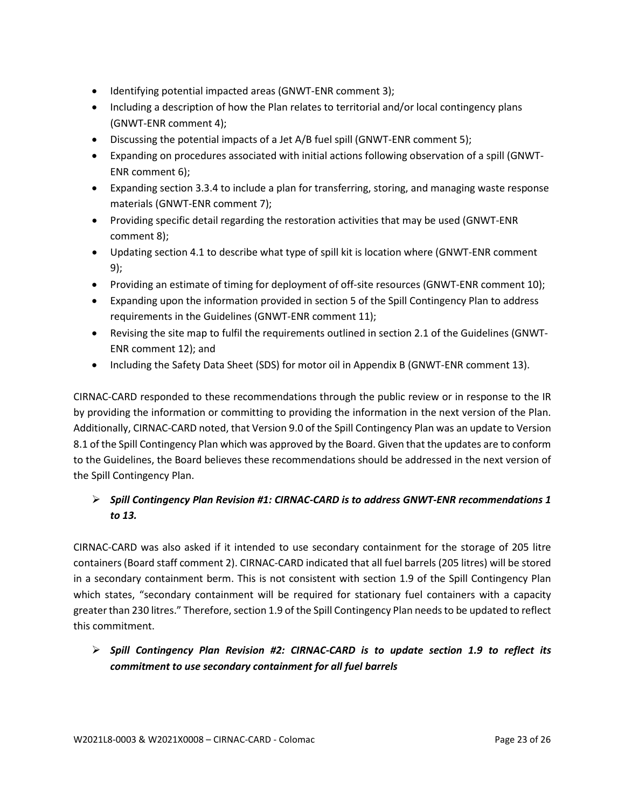- Identifying potential impacted areas (GNWT-ENR comment 3);
- Including a description of how the Plan relates to territorial and/or local contingency plans (GNWT-ENR comment 4);
- Discussing the potential impacts of a Jet A/B fuel spill (GNWT-ENR comment 5);
- Expanding on procedures associated with initial actions following observation of a spill (GNWT-ENR comment 6);
- Expanding section 3.3.4 to include a plan for transferring, storing, and managing waste response materials (GNWT-ENR comment 7);
- Providing specific detail regarding the restoration activities that may be used (GNWT-ENR comment 8);
- Updating section 4.1 to describe what type of spill kit is location where (GNWT-ENR comment 9);
- Providing an estimate of timing for deployment of off-site resources (GNWT-ENR comment 10);
- Expanding upon the information provided in section 5 of the Spill Contingency Plan to address requirements in the Guidelines (GNWT-ENR comment 11);
- Revising the site map to fulfil the requirements outlined in section 2.1 of the Guidelines (GNWT-ENR comment 12); and
- Including the Safety Data Sheet (SDS) for motor oil in Appendix B (GNWT-ENR comment 13).

CIRNAC-CARD responded to these recommendations through the public review or in response to the IR by providing the information or committing to providing the information in the next version of the Plan. Additionally, CIRNAC-CARD noted, that Version 9.0 of the Spill Contingency Plan was an update to Version 8.1 of the Spill Contingency Plan which was approved by the Board. Given that the updates are to conform to the Guidelines, the Board believes these recommendations should be addressed in the next version of the Spill Contingency Plan.

# *Spill Contingency Plan Revision #1: CIRNAC-CARD is to address GNWT-ENR recommendations 1 to 13.*

CIRNAC-CARD was also asked if it intended to use secondary containment for the storage of 205 litre containers (Board staff comment 2). CIRNAC-CARD indicated that all fuel barrels (205 litres) will be stored in a secondary containment berm. This is not consistent with section 1.9 of the Spill Contingency Plan which states, "secondary containment will be required for stationary fuel containers with a capacity greater than 230 litres." Therefore, section 1.9 of the Spill Contingency Plan needs to be updated to reflect this commitment.

 *Spill Contingency Plan Revision #2: CIRNAC-CARD is to update section 1.9 to reflect its commitment to use secondary containment for all fuel barrels*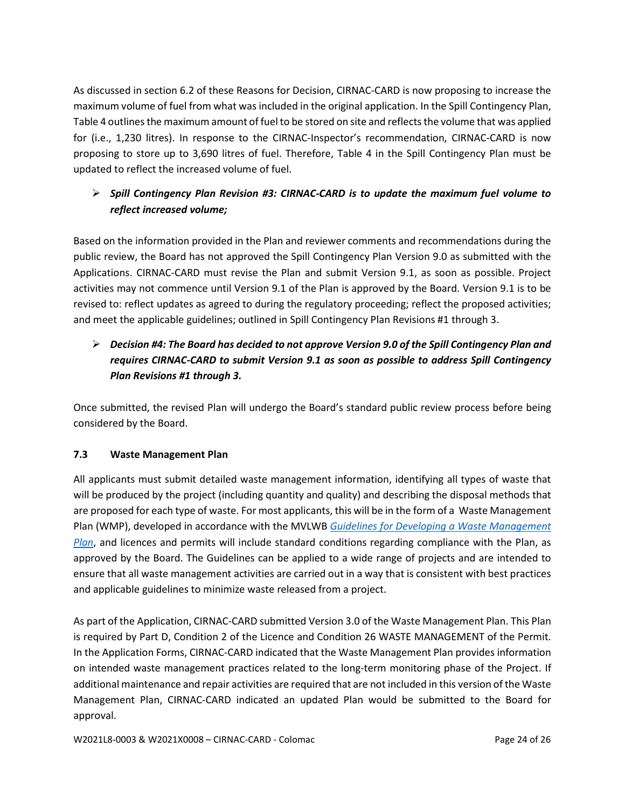As discussed in section 6.2 of these Reasons for Decision, CIRNAC-CARD is now proposing to increase the maximum volume of fuel from what was included in the original application. In the Spill Contingency Plan, Table 4 outlines the maximum amount of fuel to be stored on site and reflects the volume that was applied for (i.e., 1,230 litres). In response to the CIRNAC-Inspector's recommendation, CIRNAC-CARD is now proposing to store up to 3,690 litres of fuel. Therefore, Table 4 in the Spill Contingency Plan must be updated to reflect the increased volume of fuel.

# *Spill Contingency Plan Revision #3: CIRNAC-CARD is to update the maximum fuel volume to reflect increased volume;*

Based on the information provided in the Plan and reviewer comments and recommendations during the public review, the Board has not approved the Spill Contingency Plan Version 9.0 as submitted with the Applications. CIRNAC-CARD must revise the Plan and submit Version 9.1, as soon as possible. Project activities may not commence until Version 9.1 of the Plan is approved by the Board. Version 9.1 is to be revised to: reflect updates as agreed to during the regulatory proceeding; reflect the proposed activities; and meet the applicable guidelines; outlined in Spill Contingency Plan Revisions #1 through 3.

# *Decision #4: The Board has decided to not approve Version 9.0 of the Spill Contingency Plan and requires CIRNAC-CARD to submit Version 9.1 as soon as possible to address Spill Contingency Plan Revisions #1 through 3.*

Once submitted, the revised Plan will undergo the Board's standard public review process before being considered by the Board.

# **7.3 Waste Management Plan**

All applicants must submit detailed waste management information, identifying all types of waste that will be produced by the project (including quantity and quality) and describing the disposal methods that are proposed for each type of waste. For most applicants, this will be in the form of a Waste Management Plan (WMP), developed in accordance with the MVLWB *[Guidelines for Developing a Waste Management](https://mvlwb.com/sites/default/files/documents/MVLWB-Guidelines-for-Developing-a-Waste-Management-Plan-Mar-31_11-JCWG.pdf)  [Plan](https://mvlwb.com/sites/default/files/documents/MVLWB-Guidelines-for-Developing-a-Waste-Management-Plan-Mar-31_11-JCWG.pdf)*, and licences and permits will include standard conditions regarding compliance with the Plan, as approved by the Board. The Guidelines can be applied to a wide range of projects and are intended to ensure that all waste management activities are carried out in a way that is consistent with best practices and applicable guidelines to minimize waste released from a project.

As part of the Application, CIRNAC-CARD submitted Version 3.0 of the Waste Management Plan. This Plan is required by Part D, Condition 2 of the Licence and Condition 26 WASTE MANAGEMENT of the Permit. In the Application Forms, CIRNAC-CARD indicated that the Waste Management Plan provides information on intended waste management practices related to the long-term monitoring phase of the Project. If additional maintenance and repair activities are required that are not included in this version of the Waste Management Plan, CIRNAC-CARD indicated an updated Plan would be submitted to the Board for approval.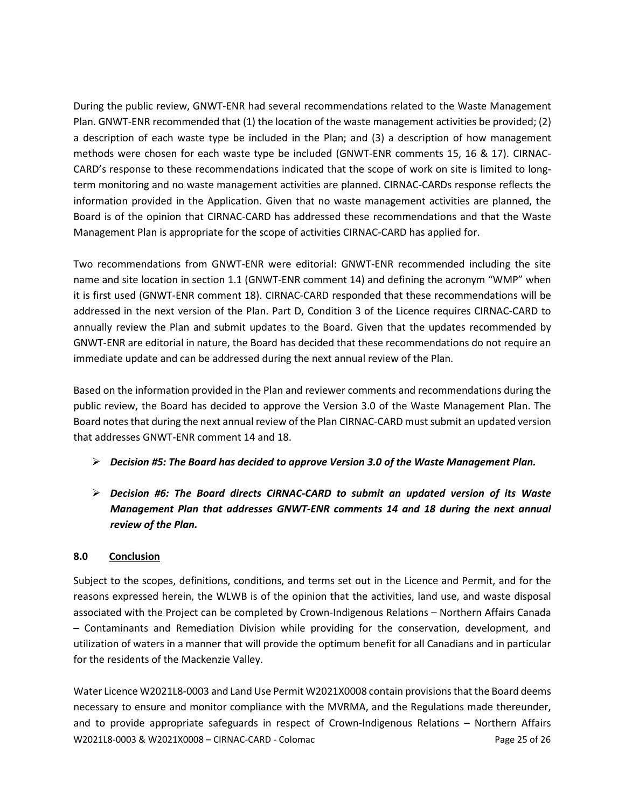During the public review, GNWT-ENR had several recommendations related to the Waste Management Plan. GNWT-ENR recommended that (1) the location of the waste management activities be provided; (2) a description of each waste type be included in the Plan; and (3) a description of how management methods were chosen for each waste type be included (GNWT-ENR comments 15, 16 & 17). CIRNAC-CARD's response to these recommendations indicated that the scope of work on site is limited to longterm monitoring and no waste management activities are planned. CIRNAC-CARDs response reflects the information provided in the Application. Given that no waste management activities are planned, the Board is of the opinion that CIRNAC-CARD has addressed these recommendations and that the Waste Management Plan is appropriate for the scope of activities CIRNAC-CARD has applied for.

Two recommendations from GNWT-ENR were editorial: GNWT-ENR recommended including the site name and site location in section 1.1 (GNWT-ENR comment 14) and defining the acronym "WMP" when it is first used (GNWT-ENR comment 18). CIRNAC-CARD responded that these recommendations will be addressed in the next version of the Plan. Part D, Condition 3 of the Licence requires CIRNAC-CARD to annually review the Plan and submit updates to the Board. Given that the updates recommended by GNWT-ENR are editorial in nature, the Board has decided that these recommendations do not require an immediate update and can be addressed during the next annual review of the Plan.

Based on the information provided in the Plan and reviewer comments and recommendations during the public review, the Board has decided to approve the Version 3.0 of the Waste Management Plan. The Board notes that during the next annual review of the Plan CIRNAC-CARD must submit an updated version that addresses GNWT-ENR comment 14 and 18.

- *Decision #5: The Board has decided to approve Version 3.0 of the Waste Management Plan.*
- *Decision #6: The Board directs CIRNAC-CARD to submit an updated version of its Waste Management Plan that addresses GNWT-ENR comments 14 and 18 during the next annual review of the Plan.*

# **8.0 Conclusion**

Subject to the scopes, definitions, conditions, and terms set out in the Licence and Permit, and for the reasons expressed herein, the WLWB is of the opinion that the activities, land use, and waste disposal associated with the Project can be completed by Crown-Indigenous Relations – Northern Affairs Canada – Contaminants and Remediation Division while providing for the conservation, development, and utilization of waters in a manner that will provide the optimum benefit for all Canadians and in particular for the residents of the Mackenzie Valley.

W2021L8-0003 & W2021X0008 – CIRNAC-CARD - Colomac Page 25 of 26 Water Licence W2021L8-0003 and Land Use Permit W2021X0008 contain provisions that the Board deems necessary to ensure and monitor compliance with the MVRMA, and the Regulations made thereunder, and to provide appropriate safeguards in respect of Crown-Indigenous Relations – Northern Affairs